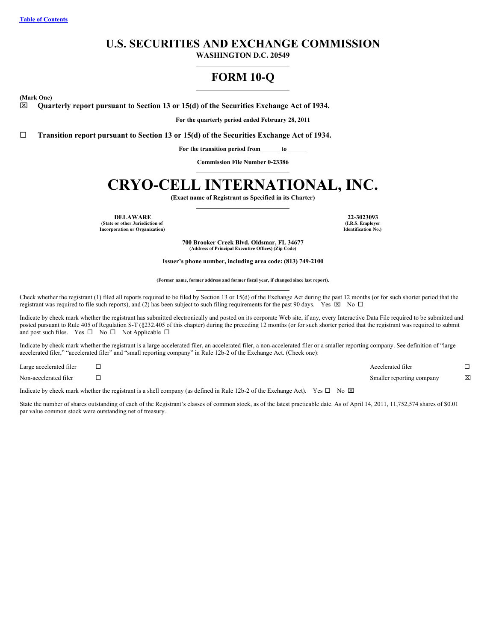# **U.S. SECURITIES AND EXCHANGE COMMISSION**

**WASHINGTON D.C. 20549**

# **FORM 10-Q**

<span id="page-0-0"></span>**(Mark One)**

x **Quarterly report pursuant to Section 13 or 15(d) of the Securities Exchange Act of 1934.**

**For the quarterly period ended February 28, 2011**

¨ **Transition report pursuant to Section 13 or 15(d) of the Securities Exchange Act of 1934.**

**For the transition period from to**

**Commission File Number 0-23386**

# **CRYO-CELL INTERNATIONAL, INC.**

**(Exact name of Registrant as Specified in its Charter)**

**DELAWARE 22-3023093 (State or other Jurisdiction of Incorporation or Organization)**

**(I.R.S. Employer Identification No.)**

**700 Brooker Creek Blvd. Oldsmar, FL 34677 (Address of Principal Executive Offices) (Zip Code)**

**Issuer's phone number, including area code: (813) 749-2100**

**(Former name, former address and former fiscal year, if changed since last report).**

Check whether the registrant (1) filed all reports required to be filed by Section 13 or 15(d) of the Exchange Act during the past 12 months (or for such shorter period that the registrant was required to file such reports), and (2) has been subject to such filing requirements for the past 90 days. Yes  $\boxtimes$  No  $\Box$ 

Indicate by check mark whether the registrant has submitted electronically and posted on its corporate Web site, if any, every Interactive Data File required to be submitted and posted pursuant to Rule 405 of Regulation S-T (§232.405 of this chapter) during the preceding 12 months (or for such shorter period that the registrant was required to submit and post such files. Yes  $\square$  No  $\square$  Not Applicable  $\square$ 

Indicate by check mark whether the registrant is a large accelerated filer, an accelerated filer, a non-accelerated filer or a smaller reporting company. See definition of "large accelerated filer," "accelerated filer" and "small reporting company" in Rule 12b-2 of the Exchange Act. (Check one):

| Large accelerated filer | Accelerated filer         |             |
|-------------------------|---------------------------|-------------|
| Non-accelerated filer   | Smaller reporting company | $\boxtimes$ |

Indicate by check mark whether the registrant is a shell company (as defined in Rule 12b-2 of the Exchange Act). Yes  $\Box$  No  $\boxtimes$ 

State the number of shares outstanding of each of the Registrant's classes of common stock, as of the latest practicable date. As of April 14, 2011, 11,752,574 shares of \$0.01 par value common stock were outstanding net of treasury.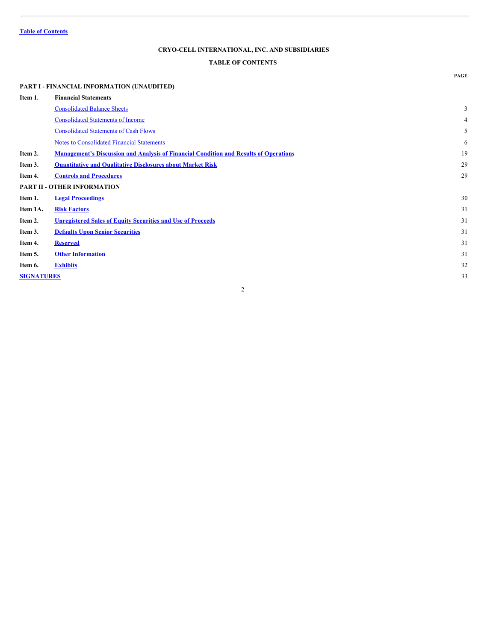# <span id="page-1-0"></span>**TABLE OF CONTENTS**

# **PART I - FINANCIAL INFORMATION (UNAUDITED) Item 1. Financial Statements** [Consolidated](#page-2-0) Balance Sheets 3 [Consolidated](#page-3-0) Statements of Income 4 [Consolidated](#page-4-0) Statements of Cash Flows 5 Notes to [Consolidated](#page-5-0) Financial Statements 6 **Item 2. [Management's](#page-18-0) Discussion and Analysis of Financial Condition and Results of Operations** 19 **Item 3. [Quantitative](#page-28-0) and Qualitative Disclosures about Market Risk** 29 **Item 4. Controls and [Procedures](#page-0-0)** 29 **PART II - OTHER INFORMATION Item 1. Legal [Proceedings](#page-29-0)** 30 **Item 1A. Risk [Factors](#page-30-0)** 31 **Item 2. [Unregistered](#page-30-1) Sales of Equity Securities and Use of Proceeds** 31 **Item 3. Defaults Upon Senior [Securities](#page-0-0)** 31 **Item 4. [Reserved](#page-30-2)** 31 **Item 5. Other [Information](#page-30-3)** 31 **Item 6. [Exhibits](#page-31-0)** 32 **[SIGNATURES](#page-32-0)** 33

2

**PAGE**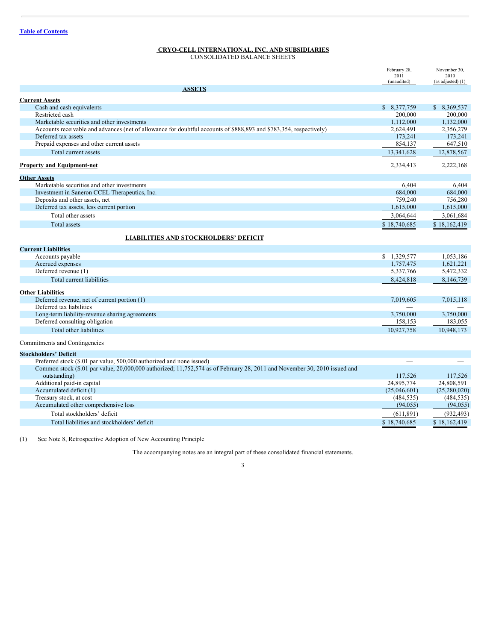<span id="page-2-0"></span>CONSOLIDATED BALANCE SHEETS

|                                                                                                                           | February 28,<br>2011    | November 30,<br>2010 |
|---------------------------------------------------------------------------------------------------------------------------|-------------------------|----------------------|
|                                                                                                                           | (unaudited)             | (as adjusted) (1)    |
| <b>ASSETS</b>                                                                                                             |                         |                      |
|                                                                                                                           |                         |                      |
| <b>Current Assets</b>                                                                                                     |                         | \$ 8.369,537         |
| Cash and cash equivalents<br>Restricted cash                                                                              | \$ 8,377,759<br>200,000 | 200,000              |
| Marketable securities and other investments                                                                               | 1,112,000               | 1,132,000            |
| Accounts receivable and advances (net of allowance for doubtful accounts of \$888,893 and \$783,354, respectively)        | 2,624,491               | 2,356,279            |
| Deferred tax assets                                                                                                       | 173,241                 | 173,241              |
| Prepaid expenses and other current assets                                                                                 | 854,137                 | 647,510              |
| Total current assets                                                                                                      |                         | 12,878,567           |
|                                                                                                                           | 13,341,628              |                      |
| <b>Property and Equipment-net</b>                                                                                         | 2,334,413               | 2,222,168            |
| <b>Other Assets</b>                                                                                                       |                         |                      |
| Marketable securities and other investments                                                                               | 6,404                   | 6,404                |
| Investment in Saneron CCEL Therapeutics, Inc.                                                                             | 684,000                 | 684,000              |
| Deposits and other assets, net                                                                                            | 759,240                 | 756,280              |
| Deferred tax assets, less current portion                                                                                 | 1,615,000               | 1,615,000            |
| Total other assets                                                                                                        | 3,064,644               | 3,061,684            |
| <b>Total assets</b>                                                                                                       | \$18,740,685            | \$18,162,419         |
|                                                                                                                           |                         |                      |
| <b>LIABILITIES AND STOCKHOLDERS' DEFICIT</b>                                                                              |                         |                      |
| <b>Current Liabilities</b>                                                                                                |                         |                      |
| Accounts payable                                                                                                          | \$1,329,577             | 1.053.186            |
| Accrued expenses                                                                                                          | 1,757,475               | 1,621,221            |
| Deferred revenue (1)                                                                                                      | 5,337,766               | 5,472,332            |
| Total current liabilities                                                                                                 | 8,424,818               | 8,146,739            |
|                                                                                                                           |                         |                      |
| <b>Other Liabilities</b>                                                                                                  |                         |                      |
| Deferred revenue, net of current portion (1)                                                                              | 7.019.605               | 7,015,118            |
| Deferred tax liabilities                                                                                                  |                         |                      |
| Long-term liability-revenue sharing agreements                                                                            | 3,750,000               | 3,750,000            |
| Deferred consulting obligation                                                                                            | 158,153                 | 183,055              |
| Total other liabilities                                                                                                   | 10,927,758              | 10,948,173           |
| Commitments and Contingencies                                                                                             |                         |                      |
|                                                                                                                           |                         |                      |
| <b>Stockholders' Deficit</b>                                                                                              |                         |                      |
| Preferred stock (\$.01 par value, 500,000 authorized and none issued)                                                     |                         |                      |
| Common stock (\$.01 par value, 20,000,000 authorized; 11,752,574 as of February 28, 2011 and November 30, 2010 issued and |                         |                      |
| outstanding)                                                                                                              | 117,526                 | 117,526              |
| Additional paid-in capital                                                                                                | 24,895,774              | 24,808,591           |
| Accumulated deficit (1)                                                                                                   | (25,046,601)            | (25,280,020)         |
| Treasury stock, at cost                                                                                                   | (484, 535)              | (484, 535)           |
| Accumulated other comprehensive loss                                                                                      | (94, 055)               | (94, 055)            |
| Total stockholders' deficit                                                                                               | (611, 891)              | (932, 493)           |
| Total liabilities and stockholders' deficit                                                                               | \$18,740,685            | \$18,162,419         |
|                                                                                                                           |                         |                      |

(1) See Note 8, Retrospective Adoption of New Accounting Principle

The accompanying notes are an integral part of these consolidated financial statements.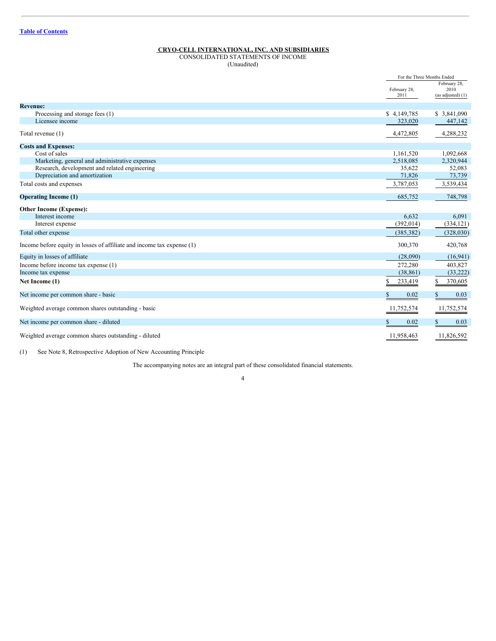<span id="page-3-0"></span>CONSOLIDATED STATEMENTS OF INCOME (Unaudited)

|                                                                        |                      | For the Three Months Ended                |
|------------------------------------------------------------------------|----------------------|-------------------------------------------|
|                                                                        | February 28,<br>2011 | February 28,<br>2010<br>(as adjusted) (1) |
| <b>Revenue:</b>                                                        |                      |                                           |
| Processing and storage fees (1)                                        | \$4,149,785          | \$ 3,841,090                              |
| Licensee income                                                        | 323,020              | 447,142                                   |
| Total revenue (1)                                                      | 4,472,805            | 4,288,232                                 |
| <b>Costs and Expenses:</b>                                             |                      |                                           |
| Cost of sales                                                          | 1,161,520            | 1,092,668                                 |
| Marketing, general and administrative expenses                         | 2,518,085            | 2,320,944                                 |
| Research, development and related engineering                          | 35,622               | 52,083                                    |
| Depreciation and amortization                                          | 71,826               | 73,739                                    |
| Total costs and expenses                                               | 3,787,053            | 3,539,434                                 |
| <b>Operating Income (1)</b>                                            | 685,752              | 748,798                                   |
| <b>Other Income (Expense):</b>                                         |                      |                                           |
| Interest income                                                        | 6,632                | 6,091                                     |
| Interest expense                                                       | (392, 014)           | (334, 121)                                |
| Total other expense                                                    | (385, 382)           | (328,030)                                 |
| Income before equity in losses of affiliate and income tax expense (1) | 300,370              | 420,768                                   |
| Equity in losses of affiliate                                          | (28,090)             | (16,941)                                  |
| Income before income tax expense (1)                                   | 272,280              | 403,827                                   |
| Income tax expense                                                     | (38, 861)            | (33,222)                                  |
| Net Income (1)                                                         | \$<br>233,419        | \$<br>370,605                             |
| Net income per common share - basic                                    | 0.02                 | 0.03                                      |
| Weighted average common shares outstanding - basic                     | 11,752,574           | 11,752,574                                |
| Net income per common share - diluted                                  | 0.02                 | 0.03                                      |
| Weighted average common shares outstanding - diluted                   | 11,958,463           | 11,826,592                                |

(1) See Note 8, Retrospective Adoption of New Accounting Principle

The accompanying notes are an integral part of these consolidated financial statements.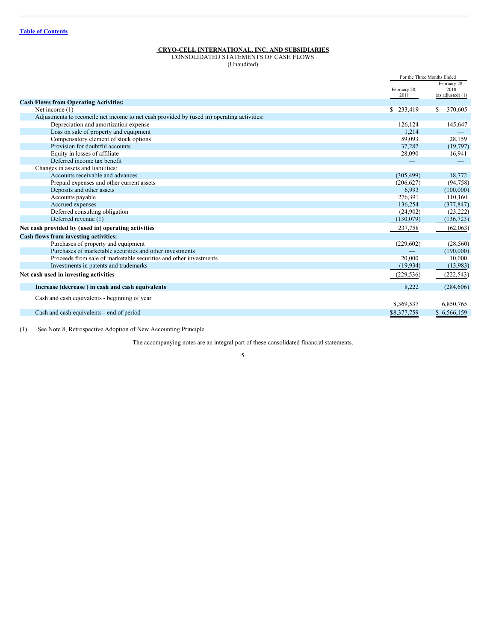<span id="page-4-0"></span>CONSOLIDATED STATEMENTS OF CASH FLOWS (Unaudited)

|                                                                                             |                      | For the Three Months Ended |
|---------------------------------------------------------------------------------------------|----------------------|----------------------------|
|                                                                                             |                      | February 28.               |
|                                                                                             | February 28,<br>2011 | 2010<br>(as adjusted) (1)  |
| <b>Cash Flows from Operating Activities:</b>                                                |                      |                            |
| Net income (1)                                                                              | \$233,419            | 370,605<br>\$              |
| Adjustments to reconcile net income to net cash provided by (used in) operating activities: |                      |                            |
| Depreciation and amortization expense                                                       | 126.124              | 145,647                    |
| Loss on sale of property and equipment                                                      | 1,214                |                            |
| Compensatory element of stock options                                                       | 59,093               | 28,159                     |
| Provision for doubtful accounts                                                             | 37,287               | (19,797)                   |
| Equity in losses of affiliate                                                               | 28,090               | 16,941                     |
| Deferred income tax benefit                                                                 |                      |                            |
| Changes in assets and liabilities:                                                          |                      |                            |
| Accounts receivable and advances                                                            | (305, 499)           | 18,772                     |
| Prepaid expenses and other current assets                                                   | (206, 627)           | (94, 758)                  |
| Deposits and other assets                                                                   | 6,993                | (100,000)                  |
| Accounts payable                                                                            | 276.391              | 110,160                    |
| Accrued expenses                                                                            | 136,254              | (377, 847)                 |
| Deferred consulting obligation                                                              | (24,902)             | (23, 222)                  |
| Deferred revenue (1)                                                                        | (130,079)            | (136, 723)                 |
| Net cash provided by (used in) operating activities                                         | 237,758              | (62,063)                   |
| Cash flows from investing activities:                                                       |                      |                            |
| Purchases of property and equipment                                                         | (229, 602)           | (28, 560)                  |
| Purchases of marketable securities and other investments                                    |                      | (190,000)                  |
| Proceeds from sale of marketable securities and other investments                           | 20,000               | 10.000                     |
| Investments in patents and trademarks                                                       | (19,934)             | (13,983)                   |
| Net cash used in investing activities                                                       | (229, 536)           | (222, 543)                 |
| Increase (decrease) in cash and cash equivalents                                            | 8.222                | (284, 606)                 |
| Cash and cash equivalents - beginning of year                                               |                      |                            |
|                                                                                             | 8,369,537            | 6,850,765                  |
| Cash and cash equivalents - end of period                                                   | \$8,377,759          | \$6,566,159                |

(1) See Note 8, Retrospective Adoption of New Accounting Principle

The accompanying notes are an integral part of these consolidated financial statements.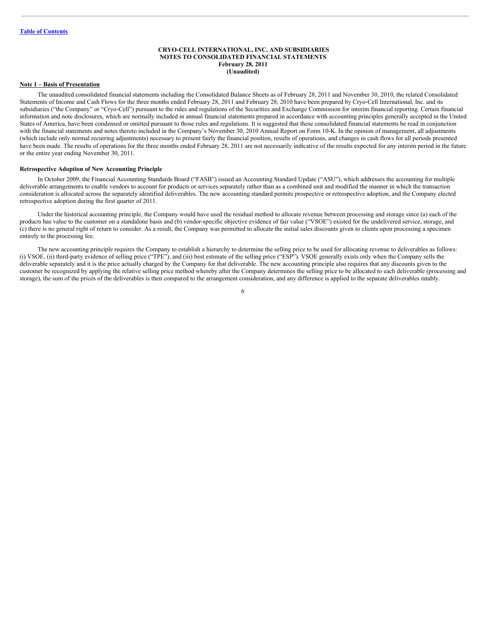# <span id="page-5-0"></span>**CRYO-CELL INTERNATIONAL, INC. AND SUBSIDIARIES NOTES TO CONSOLIDATED FINANCIAL STATEMENTS February 28, 2011 (Unaudited)**

#### **Note 1 – Basis of Presentation**

The unaudited consolidated financial statements including the Consolidated Balance Sheets as of February 28, 2011 and November 30, 2010, the related Consolidated Statements of Income and Cash Flows for the three months ended February 28, 2011 and February 28, 2010 have been prepared by Cryo-Cell International, Inc. and its subsidiaries ("the Company" or "Cryo-Cell") pursuant to the rules and regulations of the Securities and Exchange Commission for interim financial reporting. Certain financial information and note disclosures, which are normally included in annual financial statements prepared in accordance with accounting principles generally accepted in the United States of America, have been condensed or omitted pursuant to those rules and regulations. It is suggested that these consolidated financial statements be read in conjunction with the financial statements and notes thereto included in the Company's November 30, 2010 Annual Report on Form 10-K. In the opinion of management, all adjustments (which include only normal recurring adjustments) necessary to present fairly the financial position, results of operations, and changes in cash flows for all periods presented have been made. The results of operations for the three months ended February 28, 2011 are not necessarily indicative of the results expected for any interim period in the future or the entire year ending November 30, 2011.

#### **Retrospective Adoption of New Accounting Principle**

In October 2009, the Financial Accounting Standards Board ("FASB") issued an Accounting Standard Update ("ASU"), which addresses the accounting for multiple deliverable arrangements to enable vendors to account for products or services separately rather than as a combined unit and modified the manner in which the transaction consideration is allocated across the separately identified deliverables. The new accounting standard permits prospective or retrospective adoption, and the Company elected retrospective adoption during the first quarter of 2011.

Under the historical accounting principle, the Company would have used the residual method to allocate revenue between processing and storage since (a) each of the products has value to the customer on a standalone basis and (b) vendor-specific objective evidence of fair value ("VSOE") existed for the undelivered service, storage, and (c) there is no general right of return to consider. As a result, the Company was permitted to allocate the initial sales discounts given to clients upon processing a specimen entirely to the processing fee.

The new accounting principle requires the Company to establish a hierarchy to determine the selling price to be used for allocating revenue to deliverables as follows: (i) VSOE, (ii) third-party evidence of selling price ("TPE"), and (iii) best estimate of the selling price ("ESP"). VSOE generally exists only when the Company sells the deliverable separately and it is the price actually charged by the Company for that deliverable. The new accounting principle also requires that any discounts given to the customer be recognized by applying the relative selling price method whereby after the Company determines the selling price to be allocated to each deliverable (processing and storage), the sum of the prices of the deliverables is then compared to the arrangement consideration, and any difference is applied to the separate deliverables ratably.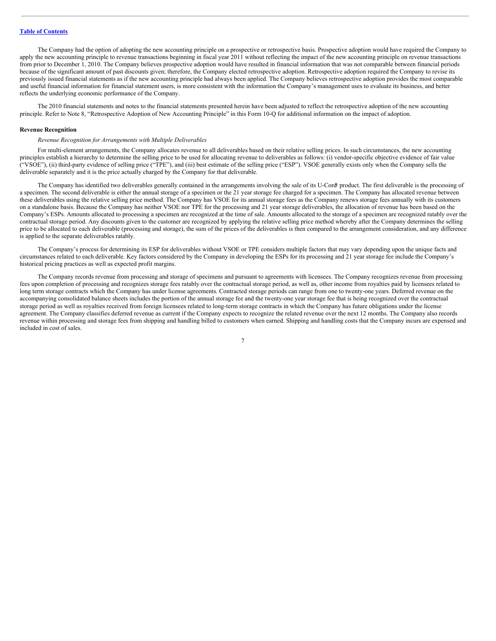The Company had the option of adopting the new accounting principle on a prospective or retrospective basis. Prospective adoption would have required the Company to apply the new accounting principle to revenue transactions beginning in fiscal year 2011 without reflecting the impact of the new accounting principle on revenue transactions from prior to December 1, 2010. The Company believes prospective adoption would have resulted in financial information that was not comparable between financial periods because of the significant amount of past discounts given; therefore, the Company elected retrospective adoption. Retrospective adoption required the Company to revise its previously issued financial statements as if the new accounting principle had always been applied. The Company believes retrospective adoption provides the most comparable and useful financial information for financial statement users, is more consistent with the information the Company's management uses to evaluate its business, and better reflects the underlying economic performance of the Company.

The 2010 financial statements and notes to the financial statements presented herein have been adjusted to reflect the retrospective adoption of the new accounting principle. Refer to Note 8, "Retrospective Adoption of New Accounting Principle" in this Form 10-Q for additional information on the impact of adoption.

#### **Revenue Recognition**

#### *Revenue Recognition for Arrangements with Multiple Deliverables*

For multi-element arrangements, the Company allocates revenue to all deliverables based on their relative selling prices. In such circumstances, the new accounting principles establish a hierarchy to determine the selling price to be used for allocating revenue to deliverables as follows: (i) vendor-specific objective evidence of fair value ("VSOE"), (ii) third-party evidence of selling price ("TPE"), and (iii) best estimate of the selling price ("ESP"). VSOE generally exists only when the Company sells the deliverable separately and it is the price actually charged by the Company for that deliverable.

The Company has identified two deliverables generally contained in the arrangements involving the sale of its U-Cord product. The first deliverable is the processing of a specimen. The second deliverable is either the annual storage of a specimen or the 21 year storage fee charged for a specimen. The Company has allocated revenue between these deliverables using the relative selling price method. The Company has VSOE for its annual storage fees as the Company renews storage fees annually with its customers on a standalone basis. Because the Company has neither VSOE nor TPE for the processing and 21 year storage deliverables, the allocation of revenue has been based on the Company's ESPs. Amounts allocated to processing a specimen are recognized at the time of sale. Amounts allocated to the storage of a specimen are recognized ratably over the contractual storage period. Any discounts given to the customer are recognized by applying the relative selling price method whereby after the Company determines the selling price to be allocated to each deliverable (processing and storage), the sum of the prices of the deliverables is then compared to the arrangement consideration, and any difference is applied to the separate deliverables ratably.

The Company's process for determining its ESP for deliverables without VSOE or TPE considers multiple factors that may vary depending upon the unique facts and circumstances related to each deliverable. Key factors considered by the Company in developing the ESPs for its processing and 21 year storage fee include the Company's historical pricing practices as well as expected profit margins.

The Company records revenue from processing and storage of specimens and pursuant to agreements with licensees. The Company recognizes revenue from processing fees upon completion of processing and recognizes storage fees ratably over the contractual storage period, as well as, other income from royalties paid by licensees related to long term storage contracts which the Company has under license agreements. Contracted storage periods can range from one to twenty-one years. Deferred revenue on the accompanying consolidated balance sheets includes the portion of the annual storage fee and the twenty-one year storage fee that is being recognized over the contractual storage period as well as royalties received from foreign licensees related to long-term storage contracts in which the Company has future obligations under the license agreement. The Company classifies deferred revenue as current if the Company expects to recognize the related revenue over the next 12 months. The Company also records revenue within processing and storage fees from shipping and handling billed to customers when earned. Shipping and handling costs that the Company incurs are expensed and included in cost of sales.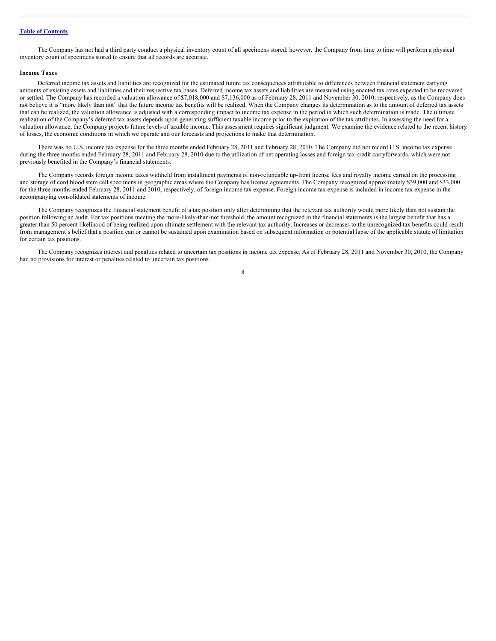The Company has not had a third party conduct a physical inventory count of all specimens stored; however, the Company from time to time will perform a physical inventory count of specimens stored to ensure that all records are accurate.

#### **Income Taxes**

Deferred income tax assets and liabilities are recognized for the estimated future tax consequences attributable to differences between financial statement carrying amounts of existing assets and liabilities and their respective tax bases. Deferred income tax assets and liabilities are measured using enacted tax rates expected to be recovered or settled. The Company has recorded a valuation allowance of \$7,018,000 and \$7,136,000 as of February 28, 2011 and November 30, 2010, respectively, as the Company does not believe it is "more likely than not" that the future income tax benefits will be realized. When the Company changes its determination as to the amount of deferred tax assets that can be realized, the valuation allowance is adjusted with a corresponding impact to income tax expense in the period in which such determination is made. The ultimate realization of the Company's deferred tax assets depends upon generating sufficient taxable income prior to the expiration of the tax attributes. In assessing the need for a valuation allowance, the Company projects future levels of taxable income. This assessment requires significant judgment. We examine the evidence related to the recent history of losses, the economic conditions in which we operate and our forecasts and projections to make that determination.

There was no U.S. income tax expense for the three months ended February 28, 2011 and February 28, 2010. The Company did not record U.S. income tax expense during the three months ended February 28, 2011 and February 28, 2010 due to the utilization of net operating losses and foreign tax credit carryforwards, which were not previously benefited in the Company's financial statements.

The Company records foreign income taxes withheld from installment payments of non-refundable up-front license fees and royalty income earned on the processing and storage of cord blood stem cell specimens in geographic areas where the Company has license agreements. The Company recognized approximately \$39,000 and \$33,000 for the three months ended February 28, 2011 and 2010, respectively, of foreign income tax expense. Foreign income tax expense is included in income tax expense in the accompanying consolidated statements of income.

The Company recognizes the financial statement benefit of a tax position only after determining that the relevant tax authority would more likely than not sustain the position following an audit. For tax positions meeting the more-likely-than-not threshold, the amount recognized in the financial statements is the largest benefit that has a greater than 50 percent likelihood of being realized upon ultimate settlement with the relevant tax authority. Increases or decreases to the unrecognized tax benefits could result from management's belief that a position can or cannot be sustained upon examination based on subsequent information or potential lapse of the applicable statute of limitation for certain tax positions.

The Company recognizes interest and penalties related to uncertain tax positions in income tax expense. As of February 28, 2011 and November 30, 2010, the Company had no provisions for interest or penalties related to uncertain tax positions. 8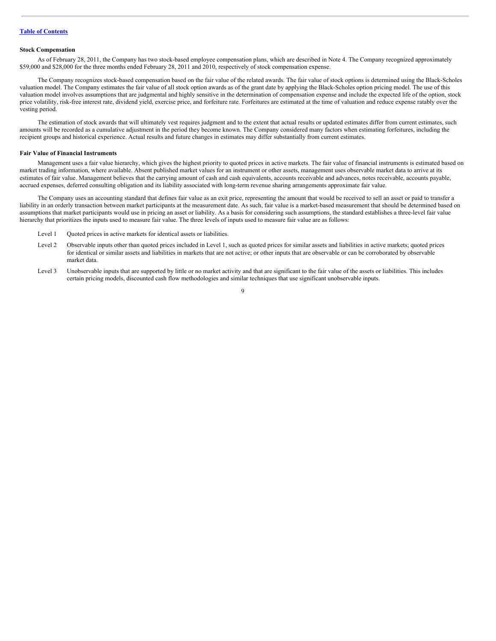#### **Stock Compensation**

As of February 28, 2011, the Company has two stock-based employee compensation plans, which are described in Note 4. The Company recognized approximately \$59,000 and \$28,000 for the three months ended February 28, 2011 and 2010, respectively of stock compensation expense.

The Company recognizes stock-based compensation based on the fair value of the related awards. The fair value of stock options is determined using the Black-Scholes valuation model. The Company estimates the fair value of all stock option awards as of the grant date by applying the Black-Scholes option pricing model. The use of this valuation model involves assumptions that are judgmental and highly sensitive in the determination of compensation expense and include the expected life of the option, stock price volatility, risk-free interest rate, dividend yield, exercise price, and forfeiture rate. Forfeitures are estimated at the time of valuation and reduce expense ratably over the vesting period.

The estimation of stock awards that will ultimately vest requires judgment and to the extent that actual results or updated estimates differ from current estimates, such amounts will be recorded as a cumulative adjustment in the period they become known. The Company considered many factors when estimating forfeitures, including the recipient groups and historical experience. Actual results and future changes in estimates may differ substantially from current estimates.

#### **Fair Value of Financial Instruments**

Management uses a fair value hierarchy, which gives the highest priority to quoted prices in active markets. The fair value of financial instruments is estimated based on market trading information, where available. Absent published market values for an instrument or other assets, management uses observable market data to arrive at its estimates of fair value. Management believes that the carrying amount of cash and cash equivalents, accounts receivable and advances, notes receivable, accounts payable, accrued expenses, deferred consulting obligation and its liability associated with long-term revenue sharing arrangements approximate fair value.

The Company uses an accounting standard that defines fair value as an exit price, representing the amount that would be received to sell an asset or paid to transfer a liability in an orderly transaction between market participants at the measurement date. As such, fair value is a market-based measurement that should be determined based on assumptions that market participants would use in pricing an asset or liability. As a basis for considering such assumptions, the standard establishes a three-level fair value hierarchy that prioritizes the inputs used to measure fair value. The three levels of inputs used to measure fair value are as follows:

- Level 1 Quoted prices in active markets for identical assets or liabilities.
- Level 2 Observable inputs other than quoted prices included in Level 1, such as quoted prices for similar assets and liabilities in active markets; quoted prices for identical or similar assets and liabilities in markets that are not active; or other inputs that are observable or can be corroborated by observable market data.
- Level 3 Unobservable inputs that are supported by little or no market activity and that are significant to the fair value of the assets or liabilities. This includes certain pricing models, discounted cash flow methodologies and similar techniques that use significant unobservable inputs.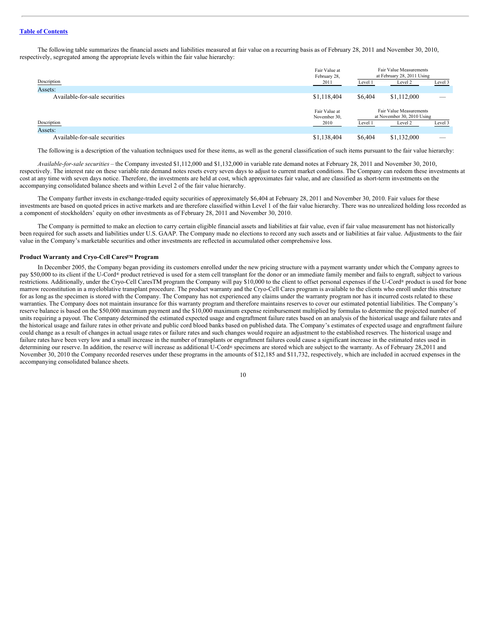The following table summarizes the financial assets and liabilities measured at fair value on a recurring basis as of February 28, 2011 and November 30, 2010, respectively, segregated among the appropriate levels within the fair value hierarchy:

| Fair Value at<br>February 28, |                    |             |                                                                                                                                                         |  |
|-------------------------------|--------------------|-------------|---------------------------------------------------------------------------------------------------------------------------------------------------------|--|
| 2011                          | Level 1<br>Level 2 |             | Level 3                                                                                                                                                 |  |
|                               |                    |             |                                                                                                                                                         |  |
| \$1,118,404                   | \$6,404            | \$1,112,000 |                                                                                                                                                         |  |
|                               |                    |             |                                                                                                                                                         |  |
| Fair Value at                 |                    |             |                                                                                                                                                         |  |
| November 30,                  |                    |             |                                                                                                                                                         |  |
|                               | Level 1            | Level 2     | Level 3                                                                                                                                                 |  |
|                               |                    |             |                                                                                                                                                         |  |
|                               |                    |             |                                                                                                                                                         |  |
|                               | 2010               |             | Fair Value Measurements<br>at February 28, 2011 Using<br>Fair Value Measurements<br>at November 30, 2010 Using<br>\$1,138,404<br>\$1,132,000<br>\$6,404 |  |

The following is a description of the valuation techniques used for these items, as well as the general classification of such items pursuant to the fair value hierarchy:

*Available-for-sale securities* – the Company invested \$1,112,000 and \$1,132,000 in variable rate demand notes at February 28, 2011 and November 30, 2010, respectively. The interest rate on these variable rate demand notes resets every seven days to adjust to current market conditions. The Company can redeem these investments at cost at any time with seven days notice. Therefore, the investments are held at cost, which approximates fair value, and are classified as short-term investments on the accompanying consolidated balance sheets and within Level 2 of the fair value hierarchy.

The Company further invests in exchange-traded equity securities of approximately \$6,404 at February 28, 2011 and November 30, 2010. Fair values for these investments are based on quoted prices in active markets and are therefore classified within Level 1 of the fair value hierarchy. There was no unrealized holding loss recorded as a component of stockholders' equity on other investments as of February 28, 2011 and November 30, 2010.

The Company is permitted to make an election to carry certain eligible financial assets and liabilities at fair value, even if fair value measurement has not historically been required for such assets and liabilities under U.S. GAAP. The Company made no elections to record any such assets and or liabilities at fair value. Adjustments to the fair value in the Company's marketable securities and other investments are reflected in accumulated other comprehensive loss.

#### **Product Warranty and Cryo-Cell Cares<sup>TM</sup> Program**

In December 2005, the Company began providing its customers enrolled under the new pricing structure with a payment warranty under which the Company agrees to pay \$50,000 to its client if the U-Cord® product retrieved is used for a stem cell transplant for the donor or an immediate family member and fails to engraft, subject to various restrictions. Additionally, under the Cryo-Cell CaresTM program the Company will pay \$10,000 to the client to offset personal expenses if the U-Cord® product is used for bone marrow reconstitution in a myeloblative transplant procedure. The product warranty and the Cryo-Cell Cares program is available to the clients who enroll under this structure for as long as the specimen is stored with the Company. The Company has not experienced any claims under the warranty program nor has it incurred costs related to these warranties. The Company does not maintain insurance for this warranty program and therefore maintains reserves to cover our estimated potential liabilities. The Company's reserve balance is based on the \$50,000 maximum payment and the \$10,000 maximum expense reimbursement multiplied by formulas to determine the projected number of units requiring a payout. The Company determined the estimated expected usage and engraftment failure rates based on an analysis of the historical usage and failure rates and the historical usage and failure rates in other private and public cord blood banks based on published data. The Company's estimates of expected usage and engraftment failure could change as a result of changes in actual usage rates or failure rates and such changes would require an adjustment to the established reserves. The historical usage and failure rates have been very low and a small increase in the number of transplants or engraftment failures could cause a significant increase in the estimated rates used in determining our reserve. In addition, the reserve will increase as additional U-Cord® specimens are stored which are subject to the warranty. As of February 28,2011 and November 30, 2010 the Company recorded reserves under these programs in the amounts of \$12,185 and \$11,732, respectively, which are included in accrued expenses in the accompanying consolidated balance sheets.

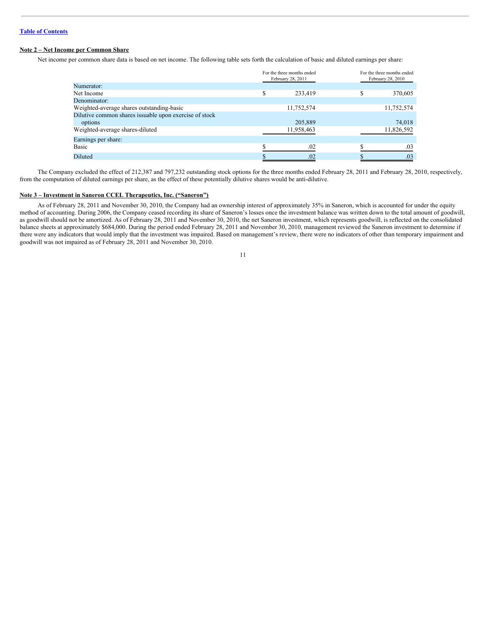# **Note 2 – Net Income per Common Share**

Net income per common share data is based on net income. The following table sets forth the calculation of basic and diluted earnings per share:

|                                                        | For the three months ended<br>February 28, 2011 |            |   | For the three months ended<br>February 28, 2010 |
|--------------------------------------------------------|-------------------------------------------------|------------|---|-------------------------------------------------|
| Numerator:                                             |                                                 |            |   |                                                 |
| Net Income                                             | \$                                              | 233,419    | ¢ | 370,605                                         |
| Denominator:                                           |                                                 |            |   |                                                 |
| Weighted-average shares outstanding-basic              | 11,752,574                                      |            |   | 11,752,574                                      |
| Dilutive common shares issuable upon exercise of stock |                                                 |            |   |                                                 |
| options                                                |                                                 | 205,889    |   | 74,018                                          |
| Weighted-average shares-diluted                        |                                                 | 11,958,463 |   | 11,826,592                                      |
| Earnings per share:                                    |                                                 |            |   |                                                 |
| Basic                                                  |                                                 | .02        |   | .03                                             |
| Diluted                                                |                                                 | .02        |   | .03                                             |

The Company excluded the effect of 212,387 and 797,232 outstanding stock options for the three months ended February 28, 2011 and February 28, 2010, respectively, from the computation of diluted earnings per share, as the effect of these potentially dilutive shares would be anti-dilutive.

# **Note 3 – Investment in Saneron CCEL Therapeutics, Inc. ("Saneron")**

As of February 28, 2011 and November 30, 2010, the Company had an ownership interest of approximately 35% in Saneron, which is accounted for under the equity method of accounting. During 2006, the Company ceased recording its share of Saneron's losses once the investment balance was written down to the total amount of goodwill, as goodwill should not be amortized. As of February 28, 2011 and November 30, 2010, the net Saneron investment, which represents goodwill, is reflected on the consolidated balance sheets at approximately \$684,000. During the period ended February 28, 2011 and November 30, 2010, management reviewed the Saneron investment to determine if there were any indicators that would imply that the investment was impaired. Based on management's review, there were no indicators of other than temporary impairment and goodwill was not impaired as of February 28, 2011 and November 30, 2010.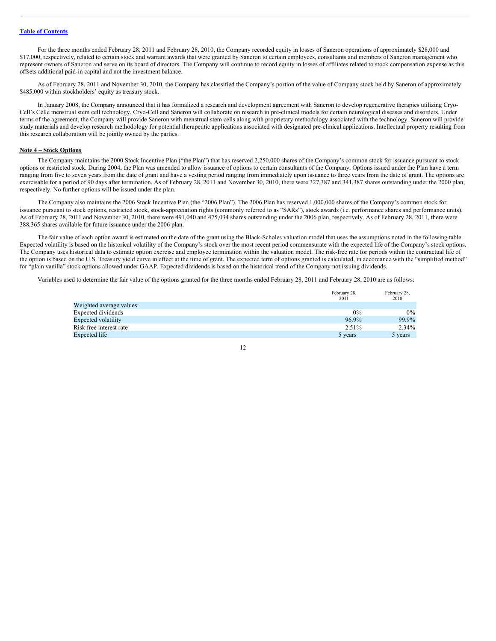For the three months ended February 28, 2011 and February 28, 2010, the Company recorded equity in losses of Saneron operations of approximately \$28,000 and \$17,000, respectively, related to certain stock and warrant awards that were granted by Saneron to certain employees, consultants and members of Saneron management who represent owners of Saneron and serve on its board of directors. The Company will continue to record equity in losses of affiliates related to stock compensation expense as this offsets additional paid-in capital and not the investment balance.

As of February 28, 2011 and November 30, 2010, the Company has classified the Company's portion of the value of Company stock held by Saneron of approximately \$485,000 within stockholders' equity as treasury stock.

In January 2008, the Company announced that it has formalized a research and development agreement with Saneron to develop regenerative therapies utilizing Cryo-Cell's Célle menstrual stem cell technology. Cryo-Cell and Saneron will collaborate on research in pre-clinical models for certain neurological diseases and disorders. Under terms of the agreement, the Company will provide Saneron with menstrual stem cells along with proprietary methodology associated with the technology. Saneron will provide study materials and develop research methodology for potential therapeutic applications associated with designated pre-clinical applications. Intellectual property resulting from this research collaboration will be jointly owned by the parties.

# **Note 4 – Stock Options**

The Company maintains the 2000 Stock Incentive Plan ("the Plan") that has reserved 2,250,000 shares of the Company's common stock for issuance pursuant to stock options or restricted stock. During 2004, the Plan was amended to allow issuance of options to certain consultants of the Company. Options issued under the Plan have a term ranging from five to seven years from the date of grant and have a vesting period ranging from immediately upon issuance to three years from the date of grant. The options are exercisable for a period of 90 days after termination. As of February 28, 2011 and November 30, 2010, there were 327,387 and 341,387 shares outstanding under the 2000 plan, respectively. No further options will be issued under the plan.

The Company also maintains the 2006 Stock Incentive Plan (the "2006 Plan"). The 2006 Plan has reserved 1,000,000 shares of the Company's common stock for issuance pursuant to stock options, restricted stock, stock-appreciation rights (commonly referred to as "SARs"), stock awards (i.e. performance shares and performance units). As of February 28, 2011 and November 30, 2010, there were 491,040 and 475,034 shares outstanding under the 2006 plan, respectively. As of February 28, 2011, there were 388,365 shares available for future issuance under the 2006 plan.

The fair value of each option award is estimated on the date of the grant using the Black-Scholes valuation model that uses the assumptions noted in the following table. Expected volatility is based on the historical volatility of the Company's stock over the most recent period commensurate with the expected life of the Company's stock options. The Company uses historical data to estimate option exercise and employee termination within the valuation model. The risk-free rate for periods within the contractual life of the option is based on the U.S. Treasury yield curve in effect at the time of grant. The expected term of options granted is calculated, in accordance with the "simplified method" for "plain vanilla" stock options allowed under GAAP. Expected dividends is based on the historical trend of the Company not issuing dividends.

Variables used to determine the fair value of the options granted for the three months ended February 28, 2011 and February 28, 2010 are as follows:

|                          | February 28,<br>2011 | February 28,<br>2010 |
|--------------------------|----------------------|----------------------|
| Weighted average values: |                      |                      |
| Expected dividends       | $0\%$                | $0\%$                |
| Expected volatility      | 96.9%                | 99.9%                |
| Risk free interest rate  | $2.51\%$             | $2.34\%$             |
| Expected life            | 5 years              | 5 years              |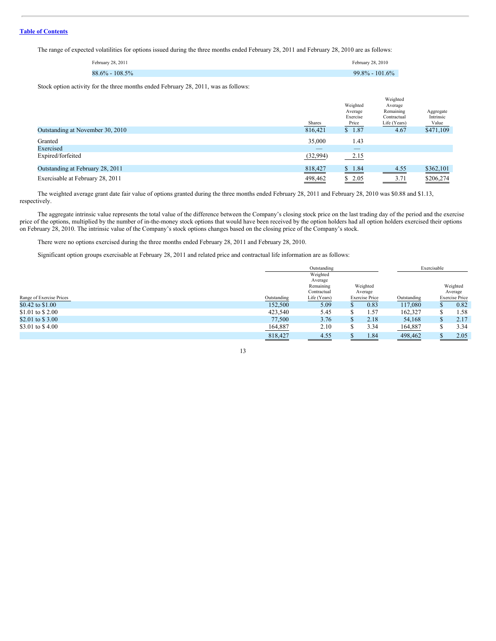The range of expected volatilities for options issued during the three months ended February 28, 2011 and February 28, 2010 are as follows:

| February 28, 2011  | February 28, 2010  |
|--------------------|--------------------|
| $88.6\% - 108.5\%$ | $99.8\% - 101.6\%$ |

Stock option activity for the three months ended February 28, 2011, was as follows:

|                                  | Shares   | Weighted<br>Average<br>Exercise<br>Price | Weighted<br>Average<br>Remaining<br>Contractual<br>Life (Years) | Aggregate<br>Intrinsic<br>Value |
|----------------------------------|----------|------------------------------------------|-----------------------------------------------------------------|---------------------------------|
| Outstanding at November 30, 2010 | 816,421  | \$1.87                                   | 4.67                                                            | \$471,109                       |
| Granted                          | 35,000   | 1.43                                     |                                                                 |                                 |
| Exercised                        | _        | _                                        |                                                                 |                                 |
| Expired/forfeited                | (32,994) | 2.15                                     |                                                                 |                                 |
| Outstanding at February 28, 2011 | 818,427  | \$1.84                                   | 4.55                                                            | \$362,101                       |
| Exercisable at February 28, 2011 | 498,462  | \$2.05                                   | 3.71<br>and the control of the control of                       | \$206,274                       |

The weighted average grant date fair value of options granted during the three months ended February 28, 2011 and February 28, 2010 was \$0.88 and \$1.13, respectively.

The aggregate intrinsic value represents the total value of the difference between the Company's closing stock price on the last trading day of the period and the exercise price of the options, multiplied by the number of in-the-money stock options that would have been received by the option holders had all option holders exercised their options on February 28, 2010. The intrinsic value of the Company's stock options changes based on the closing price of the Company's stock.

There were no options exercised during the three months ended February 28, 2011 and February 28, 2010.

Significant option groups exercisable at February 28, 2011 and related price and contractual life information are as follows:

|                          |             | Outstanding              |                       |                     | Exercisable |   |                       |
|--------------------------|-------------|--------------------------|-----------------------|---------------------|-------------|---|-----------------------|
|                          |             | Weighted<br>Average      |                       |                     |             |   |                       |
|                          |             | Remaining<br>Contractual |                       | Weighted<br>Average |             |   | Weighted<br>Average   |
| Range of Exercise Prices | Outstanding | Life (Years)             | <b>Exercise Price</b> |                     | Outstanding |   | <b>Exercise Price</b> |
| \$0.42 to \$1.00         | 152,500     | 5.09                     |                       | 0.83                | 117,080     |   | 0.82                  |
| \$1.01 to \$2.00         | 423,540     | 5.45                     |                       | 1.57                | 162,327     |   | 1.58                  |
| \$2.01 to \$3.00         | 77,500      | 3.76                     |                       | 2.18                | 54,168      | ъ | 2.17                  |
| \$3.01 to \$4.00         | 164,887     | 2.10                     |                       | 3.34                | 164,887     |   | 3.34                  |
|                          | 818,427     | 4.55                     |                       | 1.84                | 498,462     |   | 2.05                  |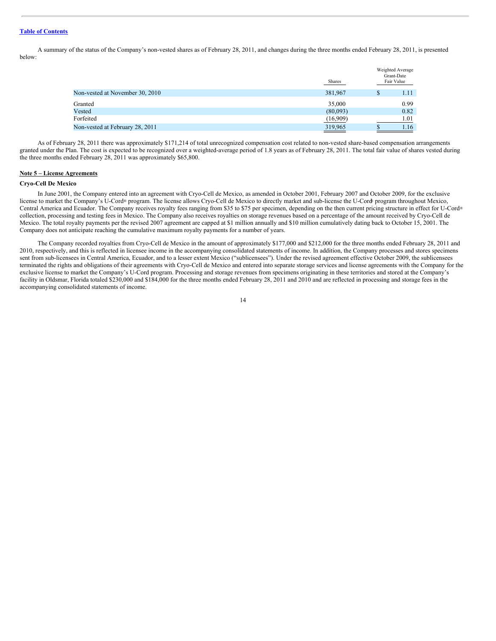A summary of the status of the Company's non-vested shares as of February 28, 2011, and changes during the three months ended February 28, 2011, is presented below:

|                                 | <b>Shares</b> | Weighted Average<br>Grant-Date<br>Fair Value |
|---------------------------------|---------------|----------------------------------------------|
| Non-vested at November 30, 2010 | 381,967       | 1.11                                         |
| Granted                         | 35,000        | 0.99                                         |
| Vested                          | (80,093)      | 0.82                                         |
| Forfeited                       | (16,909)      | 1.01                                         |
| Non-vested at February 28, 2011 | 319,965       | 1.16                                         |

As of February 28, 2011 there was approximately \$171,214 of total unrecognized compensation cost related to non-vested share-based compensation arrangements granted under the Plan. The cost is expected to be recognized over a weighted-average period of 1.8 years as of February 28, 2011. The total fair value of shares vested during the three months ended February 28, 2011 was approximately \$65,800.

# **Note 5 – License Agreements**

#### **Cryo-Cell De Mexico**

In June 2001, the Company entered into an agreement with Cryo-Cell de Mexico, as amended in October 2001, February 2007 and October 2009, for the exclusive license to market the Company's U-Cord® program. The license allows Cryo-Cell de Mexico to directly market and sub-license the U-Cord® program throughout Mexico, Central America and Ecuador. The Company receives royalty fees ranging from \$35 to \$75 per specimen, depending on the then current pricing structure in effect for U-Cord ®collection, processing and testing fees in Mexico. The Company also receives royalties on storage revenues based on a percentage of the amount received by Cryo-Cell de Mexico. The total royalty payments per the revised 2007 agreement are capped at \$1 million annually and \$10 million cumulatively dating back to October 15, 2001. The Company does not anticipate reaching the cumulative maximum royalty payments for a number of years.

The Company recorded royalties from Cryo-Cell de Mexico in the amount of approximately \$177,000 and \$212,000 for the three months ended February 28, 2011 and 2010, respectively, and this is reflected in licensee income in the accompanying consolidated statements of income. In addition, the Company processes and stores specimens sent from sub-licensees in Central America, Ecuador, and to a lesser extent Mexico ("sublicensees"). Under the revised agreement effective October 2009, the sublicensees terminated the rights and obligations of their agreements with Cryo-Cell de Mexico and entered into separate storage services and license agreements with the Company for the exclusive license to market the Company's U-Cord program. Processing and storage revenues from specimens originating in these territories and stored at the Company's facility in Oldsmar, Florida totaled \$230,000 and \$184,000 for the three months ended February 28, 2011 and 2010 and are reflected in processing and storage fees in the accompanying consolidated statements of income.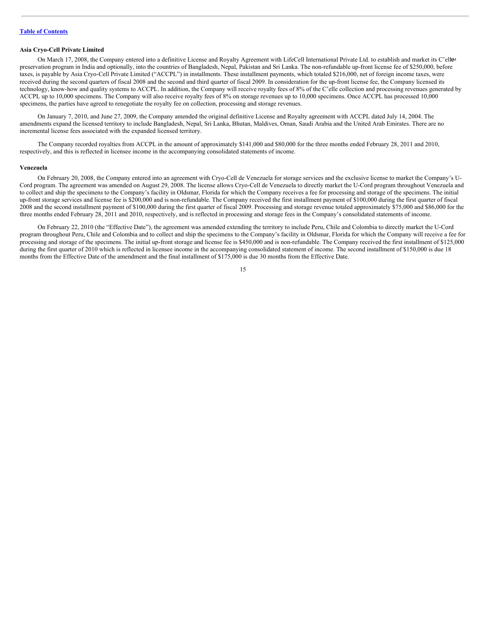# **Asia Cryo-Cell Private Limited**

On March 17, 2008, the Company entered into a definitive License and Royalty Agreement with LifeCell International Private Ltd. to establish and market its C'ell<sup>ga</sup> preservation program in India and optionally, into the countries of Bangladesh, Nepal, Pakistan and Sri Lanka. The non-refundable up-front license fee of \$250,000, before taxes, is payable by Asia Cryo-Cell Private Limited ("ACCPL") in installments. These installment payments, which totaled \$216,000, net of foreign income taxes, were received during the second quarters of fiscal 2008 and the second and third quarter of fiscal 2009. In consideration for the up-front license fee, the Company licensed its technology, know-how and quality systems to ACCPL. In addition, the Company will receive royalty fees of 8% of the C'elle collection and processing revenues generated by ACCPL up to 10,000 specimens. The Company will also receive royalty fees of 8% on storage revenues up to 10,000 specimens. Once ACCPL has processed 10,000 specimens, the parties have agreed to renegotiate the royalty fee on collection, processing and storage revenues.

On January 7, 2010, and June 27, 2009, the Company amended the original definitive License and Royalty agreement with ACCPL dated July 14, 2004. The amendments expand the licensed territory to include Bangladesh, Nepal, Sri Lanka, Bhutan, Maldives, Oman, Saudi Arabia and the United Arab Emirates. There are no incremental license fees associated with the expanded licensed territory.

The Company recorded royalties from ACCPL in the amount of approximately \$141,000 and \$80,000 for the three months ended February 28, 2011 and 2010, respectively, and this is reflected in licensee income in the accompanying consolidated statements of income.

#### **Venezuela**

On February 20, 2008, the Company entered into an agreement with Cryo-Cell de Venezuela for storage services and the exclusive license to market the Company's U-Cord program. The agreement was amended on August 29, 2008. The license allows Cryo-Cell de Venezuela to directly market the U-Cord program throughout Venezuela and to collect and ship the specimens to the Company's facility in Oldsmar, Florida for which the Company receives a fee for processing and storage of the specimens. The initial up-front storage services and license fee is \$200,000 and is non-refundable. The Company received the first installment payment of \$100,000 during the first quarter of fiscal 2008 and the second installment payment of \$100,000 during the first quarter of fiscal 2009. Processing and storage revenue totaled approximately \$75,000 and \$86,000 for the three months ended February 28, 2011 and 2010, respectively, and is reflected in processing and storage fees in the Company's consolidated statements of income.

On February 22, 2010 (the "Effective Date"), the agreement was amended extending the territory to include Peru, Chile and Colombia to directly market the U-Cord program throughout Peru, Chile and Colombia and to collect and ship the specimens to the Company's facility in Oldsmar, Florida for which the Company will receive a fee for processing and storage of the specimens. The initial up-front storage and license fee is \$450,000 and is non-refundable. The Company received the first installment of \$125,000 during the first quarter of 2010 which is reflected in licensee income in the accompanying consolidated statement of income. The second installment of \$150,000 is due 18 months from the Effective Date of the amendment and the final installment of \$175,000 is due 30 months from the Effective Date.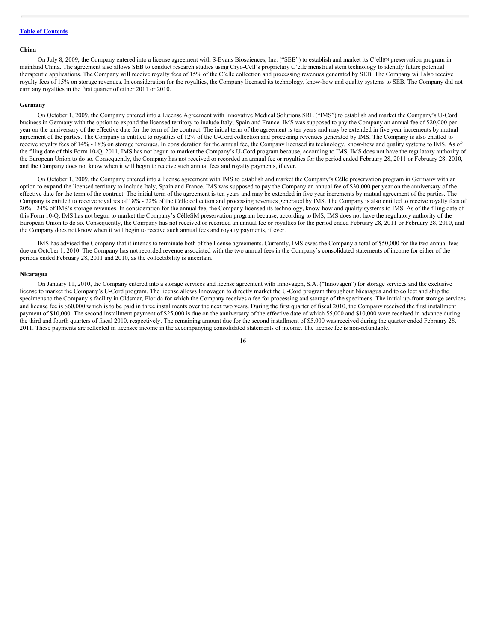# **China**

On July 8, 2009, the Company entered into a license agreement with S-Evans Biosciences, Inc. ("SEB") to establish and market its C'ell&M preservation program in mainland China. The agreement also allows SEB to conduct research studies using Cryo-Cell's proprietary C'elle menstrual stem technology to identify future potential therapeutic applications. The Company will receive royalty fees of 15% of the C'elle collection and processing revenues generated by SEB. The Company will also receive royalty fees of 15% on storage revenues. In consideration for the royalties, the Company licensed its technology, know-how and quality systems to SEB. The Company did not earn any royalties in the first quarter of either 2011 or 2010.

#### **Germany**

On October 1, 2009, the Company entered into a License Agreement with Innovative Medical Solutions SRL ("IMS") to establish and market the Company's U-Cord business in Germany with the option to expand the licensed territory to include Italy, Spain and France. IMS was supposed to pay the Company an annual fee of \$20,000 per year on the anniversary of the effective date for the term of the contract. The initial term of the agreement is ten years and may be extended in five year increments by mutual agreement of the parties. The Company is entitled to royalties of 12% of the U-Cord collection and processing revenues generated by IMS. The Company is also entitled to receive royalty fees of 14% - 18% on storage revenues. In consideration for the annual fee, the Company licensed its technology, know-how and quality systems to IMS. As of the filing date of this Form 10-Q, 2011, IMS has not begun to market the Company's U-Cord program because, according to IMS, IMS does not have the regulatory authority of the European Union to do so. Consequently, the Company has not received or recorded an annual fee or royalties for the period ended February 28, 2010 r February 28, 2010, and the Company does not know when it will begin to receive such annual fees and royalty payments, if ever.

On October 1, 2009, the Company entered into a license agreement with IMS to establish and market the Company's Célle preservation program in Germany with an option to expand the licensed territory to include Italy, Spain and France. IMS was supposed to pay the Company an annual fee of \$30,000 per year on the anniversary of the effective date for the term of the contract. The initial term of the agreement is ten years and may be extended in five year increments by mutual agreement of the parties. The Company is entitled to receive royalties of 18% - 22% of the Célle collection and processing revenues generated by IMS. The Company is also entitled to receive royalty fees of 20% - 24% of IMS's storage revenues. In consideration for the annual fee, the Company licensed its technology, know-how and quality systems to IMS. As of the filing date of this Form 10-Q, IMS has not begun to market the Company's CélleSM preservation program because, according to IMS, IMS does not have the regulatory authority of the European Union to do so. Consequently, the Company has not received or recorded an annual fee or royalties for the period ended February 28, 2011 or February 28, 2010, and the Company does not know when it will begin to receive such annual fees and royalty payments, if ever.

IMS has advised the Company that it intends to terminate both of the license agreements. Currently, IMS owes the Company a total of \$50,000 for the two annual fees due on October 1, 2010. The Company has not recorded revenue associated with the two annual fees in the Company's consolidated statements of income for either of the periods ended February 28, 2011 and 2010, as the collectability is uncertain.

#### **Nicaragua**

On January 11, 2010, the Company entered into a storage services and license agreement with Innovagen, S.A. ("Innovagen") for storage services and the exclusive license to market the Company's U-Cord program. The license allows Innovagen to directly market the U-Cord program throughout Nicaragua and to collect and ship the specimens to the Company's facility in Oldsmar, Florida for which the Company receives a fee for processing and storage of the specimens. The initial up-front storage services and license fee is \$60,000 which is to be paid in three installments over the next two years. During the first quarter of fiscal 2010, the Company received the first installment payment of \$10,000. The second installment payment of \$25,000 is due on the anniversary of the effective date of which \$5,000 and \$10,000 were received in advance during the third and fourth quarters of fiscal 2010, respectively. The remaining amount due for the second installment of \$5,000 was received during the quarter ended February 28, 2011. These payments are reflected in licensee income in the accompanying consolidated statements of income. The license fee is non-refundable.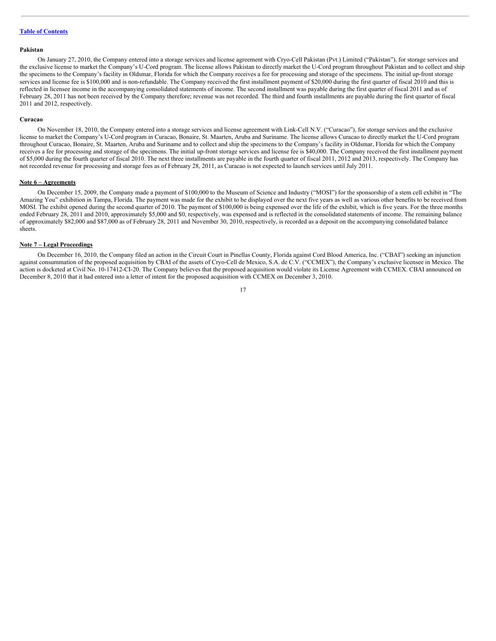#### **Pakistan**

On January 27, 2010, the Company entered into a storage services and license agreement with Cryo-Cell Pakistan (Pvt.) Limited ("Pakistan"), for storage services and the exclusive license to market the Company's U-Cord program. The license allows Pakistan to directly market the U-Cord program throughout Pakistan and to collect and ship the specimens to the Company's facility in Oldsmar, Florida for which the Company receives a fee for processing and storage of the specimens. The initial up-front storage services and license fee is \$100,000 and is non-refundable. The Company received the first installment payment of \$20,000 during the first quarter of fiscal 2010 and this is reflected in licensee income in the accompanying consolidated statements of income. The second installment was payable during the first quarter of fiscal 2011 and as of February 28, 2011 has not been received by the Company therefore; revenue was not recorded. The third and fourth installments are payable during the first quarter of fiscal 2011 and 2012, respectively.

#### **Curacao**

On November 18, 2010, the Company entered into a storage services and license agreement with Link-Cell N.V. ("Curacao"), for storage services and the exclusive license to market the Company's U-Cord program in Curacao, Bonaire, St. Maarten, Aruba and Suriname. The license allows Curacao to directly market the U-Cord program throughout Curacao, Bonaire, St. Maarten, Aruba and Suriname and to collect and ship the specimens to the Company's facility in Oldsmar, Florida for which the Company receives a fee for processing and storage of the specimens. The initial up-front storage services and license fee is \$40,000. The Company received the first installment payment of \$5,000 during the fourth quarter of fiscal 2010. The next three installments are payable in the fourth quarter of fiscal 2011, 2012 and 2013, respectively. The Company has not recorded revenue for processing and storage fees as of February 28, 2011, as Curacao is not expected to launch services until July 2011.

#### **Note 6 – Agreements**

On December 15, 2009, the Company made a payment of \$100,000 to the Museum of Science and Industry ("MOSI") for the sponsorship of a stem cell exhibit in "The Amazing You" exhibition in Tampa, Florida. The payment was made for the exhibit to be displayed over the next five years as well as various other benefits to be received from MOSI. The exhibit opened during the second quarter of 2010. The payment of \$100,000 is being expensed over the life of the exhibit, which is five years. For the three months ended February 28, 2011 and 2010, approximately \$5,000 and \$0, respectively, was expensed and is reflected in the consolidated statements of income. The remaining balance of approximately \$82,000 and \$87,000 as of February 28, 2011 and November 30, 2010, respectively, is recorded as a deposit on the accompanying consolidated balance sheets.

#### **Note 7 – Legal Proceedings**

On December 16, 2010, the Company filed an action in the Circuit Court in Pinellas County, Florida against Cord Blood America, Inc. ("CBAI") seeking an injunction against consummation of the proposed acquisition by CBAI of the assets of Cryo-Cell de Mexico, S.A. de C.V. ("CCMEX"), the Company's exclusive licensee in Mexico. The action is docketed at Civil No. 10-17412-CI-20. The Company believes that the proposed acquisition would violate its License Agreement with CCMEX. CBAI announced on December 8, 2010 that it had entered into a letter of intent for the proposed acquisition with CCMEX on December 3, 2010.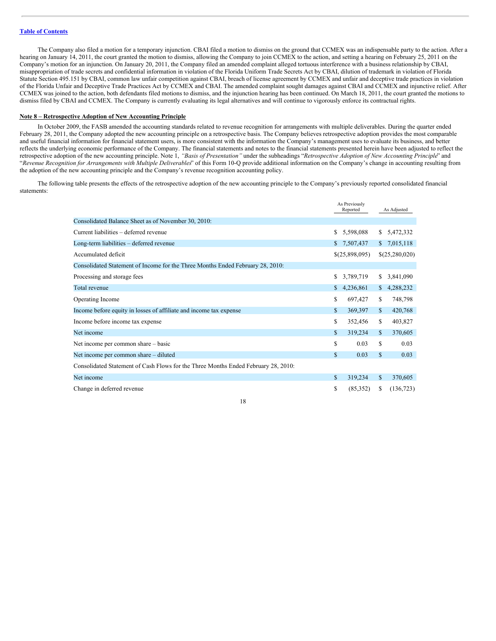The Company also filed a motion for a temporary injunction. CBAI filed a motion to dismiss on the ground that CCMEX was an indispensable party to the action. After a hearing on January 14, 2011, the court granted the motion to dismiss, allowing the Company to join CCMEX to the action, and setting a hearing on February 25, 2011 on the Company's motion for an injunction. On January 20, 2011, the Company filed an amended complaint alleged tortuous interference with a business relationship by CBAI, misappropriation of trade secrets and confidential information in violation of the Florida Uniform Trade Secrets Act by CBAI, dilution of trademark in violation of Florida Statute Section 495.151 by CBAI, common law unfair competition against CBAI, breach of license agreement by CCMEX and unfair and deceptive trade practices in violation of the Florida Unfair and Deceptive Trade Practices Act by CCMEX and CBAI. The amended complaint sought damages against CBAI and CCMEX and injunctive relief. After CCMEX was joined to the action, both defendants filed motions to dismiss, and the injunction hearing has been continued. On March 18, 2011, the court granted the motions to dismiss filed by CBAI and CCMEX. The Company is currently evaluating its legal alternatives and will continue to vigorously enforce its contractual rights.

## **Note 8 – Retrospective Adoption of New Accounting Principle**

In October 2009, the FASB amended the accounting standards related to revenue recognition for arrangements with multiple deliverables. During the quarter ended February 28, 2011, the Company adopted the new accounting principle on a retrospective basis. The Company believes retrospective adoption provides the most comparable and useful financial information for financial statement users, is more consistent with the information the Company's management uses to evaluate its business, and better reflects the underlying economic performance of the Company. The financial statements and notes to the financial statements presented herein have been adjusted to reflect the retrospective adoption of the new accounting principle. Note 1, "Basis of Presentation" under the subheadings "Retrospective Adoption of New Accounting Principle" and "*Revenue Recognition for Arrangements with Multiple Deliverables*" of this Form 10-Q provide additional information on the Company's change in accounting resulting from the adoption of the new accounting principle and the Company's revenue recognition accounting policy.

The following table presents the effects of the retrospective adoption of the new accounting principle to the Company's previously reported consolidated financial statements:

|                                                                                    |    | As Previously<br>Reported |              | As Adjusted    |
|------------------------------------------------------------------------------------|----|---------------------------|--------------|----------------|
| Consolidated Balance Sheet as of November 30, 2010:                                |    |                           |              |                |
| Current liabilities – deferred revenue                                             | S  | 5,598,088                 | S.           | 5,472,332      |
| Long-term liabilities – deferred revenue                                           | S. | 7,507,437                 | S.           | 7,015,118      |
| Accumulated deficit                                                                |    | \$(25,898,095)            |              | \$(25,280,020) |
| Consolidated Statement of Income for the Three Months Ended February 28, 2010:     |    |                           |              |                |
| Processing and storage fees                                                        | S  | 3,789,719                 | S.           | 3,841,090      |
| Total revenue                                                                      | S  | 4,236,861                 | S.           | 4,288,232      |
| Operating Income                                                                   | S  | 697,427                   | S            | 748,798        |
| Income before equity in losses of affiliate and income tax expense                 | S  | 369,397                   | $\mathbb{S}$ | 420,768        |
| Income before income tax expense                                                   | S  | 352,456                   | S            | 403,827        |
| Net income                                                                         | S. | 319,234                   | $\mathbf{s}$ | 370,605        |
| Net income per common share - basic                                                | S  | 0.03                      | S            | 0.03           |
| Net income per common share – diluted                                              | S  | 0.03                      | S            | 0.03           |
| Consolidated Statement of Cash Flows for the Three Months Ended February 28, 2010: |    |                           |              |                |
| Net income                                                                         | S  | 319,234                   | S            | 370,605        |
| Change in deferred revenue                                                         | S  | (85,352)                  | S.           | (136, 723)     |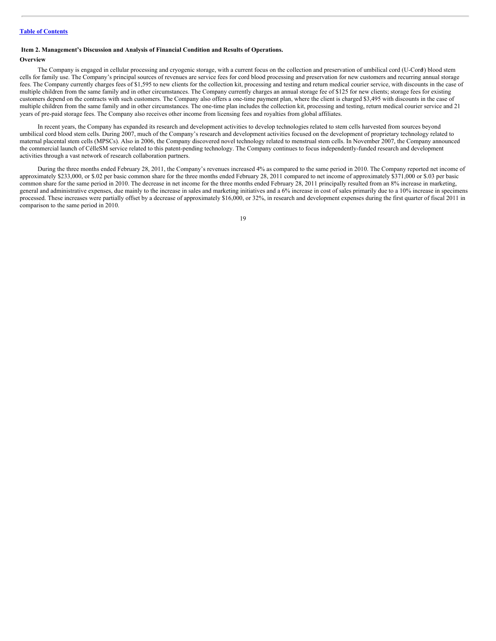# <span id="page-18-0"></span>**Item 2. Management's Discussion and Analysis of Financial Condition and Results of Operations.**

#### **Overview**

The Company is engaged in cellular processing and cryogenic storage, with a current focus on the collection and preservation of umbilical cord (U-Cord) blood stem ®cells for family use. The Company's principal sources of revenues are service fees for cord blood processing and preservation for new customers and recurring annual storage fees. The Company currently charges fees of \$1,595 to new clients for the collection kit, processing and testing and return medical courier service, with discounts in the case of multiple children from the same family and in other circumstances. The Company currently charges an annual storage fee of \$125 for new clients; storage fees for existing customers depend on the contracts with such customers. The Company also offers a one-time payment plan, where the client is charged \$3,495 with discounts in the case of multiple children from the same family and in other circumstances. The one-time plan includes the collection kit, processing and testing, return medical courier service and 21 years of pre-paid storage fees. The Company also receives other income from licensing fees and royalties from global affiliates.

In recent years, the Company has expanded its research and development activities to develop technologies related to stem cells harvested from sources beyond umbilical cord blood stem cells. During 2007, much of the Company's research and development activities focused on the development of proprietary technology related to maternal placental stem cells (MPSCs). Also in 2006, the Company discovered novel technology related to menstrual stem cells. In November 2007, the Company announced the commercial launch of CélleSM service related to this patent-pending technology. The Company continues to focus independently-funded research and development activities through a vast network of research collaboration partners.

During the three months ended February 28, 2011, the Company's revenues increased 4% as compared to the same period in 2010. The Company reported net income of approximately \$233,000, or \$.02 per basic common share for the three months ended February 28, 2011 compared to net income of approximately \$371,000 or \$.03 per basic common share for the same period in 2010. The decrease in net income for the three months ended February 28, 2011 principally resulted from an 8% increase in marketing, general and administrative expenses, due mainly to the increase in sales and marketing initiatives and a 6% increase in cost of sales primarily due to a 10% increase in specimens processed. These increases were partially offset by a decrease of approximately \$16,000, or 32%, in research and development expenses during the first quarter of fiscal 2011 in comparison to the same period in 2010.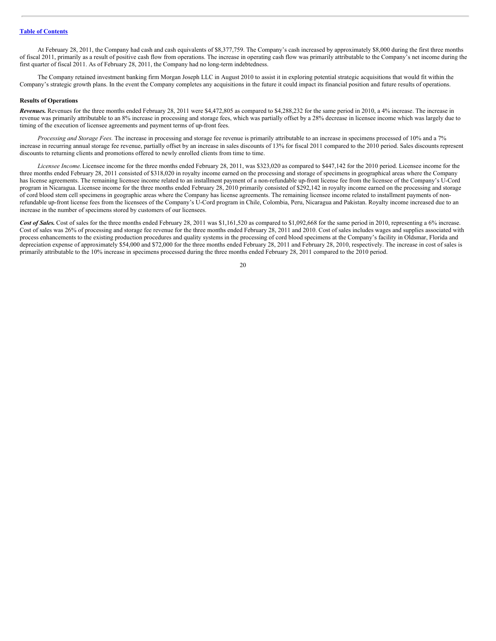At February 28, 2011, the Company had cash and cash equivalents of \$8,377,759. The Company's cash increased by approximately \$8,000 during the first three months of fiscal 2011, primarily as a result of positive cash flow from operations. The increase in operating cash flow was primarily attributable to the Company's net income during the first quarter of fiscal 2011. As of February 28, 2011, the Company had no long-term indebtedness.

The Company retained investment banking firm Morgan Joseph LLC in August 2010 to assist it in exploring potential strategic acquisitions that would fit within the Company's strategic growth plans. In the event the Company completes any acquisitions in the future it could impact its financial position and future results of operations.

#### **Results of Operations**

*Revenues.* Revenues for the three months ended February 28, 2011 were \$4,472,805 as compared to \$4,288,232 for the same period in 2010, a 4% increase. The increase in revenue was primarily attributable to an 8% increase in processing and storage fees, which was partially offset by a 28% decrease in licensee income which was largely due to timing of the execution of licensee agreements and payment terms of up-front fees.

*Processing and Storage Fees.* The increase in processing and storage fee revenue is primarily attributable to an increase in specimens processed of 10% and a 7% increase in recurring annual storage fee revenue, partially offset by an increase in sales discounts of 13% for fiscal 2011 compared to the 2010 period. Sales discounts represent discounts to returning clients and promotions offered to newly enrolled clients from time to time.

*Licensee Income.*Licensee income for the three months ended February 28, 2011, was \$323,020 as compared to \$447,142 for the 2010 period. Licensee income for the three months ended February 28, 2011 consisted of \$318,020 in royalty income earned on the processing and storage of specimens in geographical areas where the Company has license agreements. The remaining licensee income related to an installment payment of a non-refundable up-front license fee from the licensee of the Company's U-Cord program in Nicaragua. Licensee income for the three months ended February 28, 2010 primarily consisted of \$292,142 in royalty income earned on the processing and storage of cord blood stem cell specimens in geographic areas where the Company has license agreements. The remaining licensee income related to installment payments of nonrefundable up-front license fees from the licensees of the Company's U-Cord program in Chile, Colombia, Peru, Nicaragua and Pakistan. Royalty income increased due to an increase in the number of specimens stored by customers of our licensees.

Cost of Sales. Cost of sales for the three months ended February 28, 2011 was \$1,161,520 as compared to \$1,092,668 for the same period in 2010, representing a 6% increase. Cost of sales was 26% of processing and storage fee revenue for the three months ended February 28, 2011 and 2010. Cost of sales includes wages and supplies associated with process enhancements to the existing production procedures and quality systems in the processing of cord blood specimens at the Company's facility in Oldsmar, Florida and depreciation expense of approximately \$54,000 and \$72,000 for the three months ended February 28, 2011 and February 28, 2010, respectively. The increase in cost of sales is primarily attributable to the 10% increase in specimens processed during the three months ended February 28, 2011 compared to the 2010 period.

<sup>20</sup>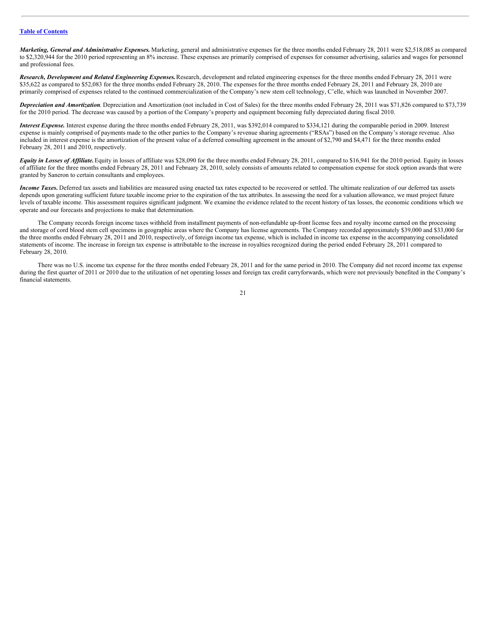*Marketing, General and Administrative Expenses.* Marketing, general and administrative expenses for the three months ended February 28, 2011 were \$2,518,085 as compared to \$2,320,944 for the 2010 period representing an 8% increase. These expenses are primarily comprised of expenses for consumer advertising, salaries and wages for personnel and professional fees.

*Research, Development and Related Engineering Expenses.*Research, development and related engineering expenses for the three months ended February 28, 2011 were \$35,622 as compared to \$52,083 for the three months ended February 28, 2010. The expenses for the three months ended February 28, 2011 and February 28, 2010 are primarily comprised of expenses related to the continued commercialization of the Company's new stem cell technology, C'elle, which was launched in November 2007.

*Depreciation and Amortization*. Depreciation and Amortization (not included in Cost of Sales) for the three months ended February 28, 2011 was \$71,826 compared to \$73,739 for the 2010 period. The decrease was caused by a portion of the Company's property and equipment becoming fully depreciated during fiscal 2010.

*Interest Expense.* Interest expense during the three months ended February 28, 2011, was \$392,014 compared to \$334,121 during the comparable period in 2009. Interest expense is mainly comprised of payments made to the other parties to the Company's revenue sharing agreements ("RSAs") based on the Company's storage revenue. Also included in interest expense is the amortization of the present value of a deferred consulting agreement in the amount of \$2,790 and \$4,471 for the three months ended February 28, 2011 and 2010, respectively.

*Equity in Losses of Af iliate.*Equity in losses of affiliate was \$28,090 for the three months ended February 28, 2011, compared to \$16,941 for the 2010 period. Equity in losses of affiliate for the three months ended February 28, 2011 and February 28, 2010, solely consists of amounts related to compensation expense for stock option awards that were granted by Saneron to certain consultants and employees.

*Income Taxes***.** Deferred tax assets and liabilities are measured using enacted tax rates expected to be recovered or settled. The ultimate realization of our deferred tax assets depends upon generating sufficient future taxable income prior to the expiration of the tax attributes. In assessing the need for a valuation allowance, we must project future levels of taxable income. This assessment requires significant judgment. We examine the evidence related to the recent history of tax losses, the economic conditions which we operate and our forecasts and projections to make that determination.

The Company records foreign income taxes withheld from installment payments of non-refundable up-front license fees and royalty income earned on the processing and storage of cord blood stem cell specimens in geographic areas where the Company has license agreements. The Company recorded approximately \$39,000 and \$33,000 for the three months ended February 28, 2011 and 2010, respectively, of foreign income tax expense, which is included in income tax expense in the accompanying consolidated statements of income. The increase in foreign tax expense is attributable to the increase in royalties recognized during the period ended February 28, 2011 compared to February 28, 2010.

There was no U.S. income tax expense for the three months ended February 28, 2011 and for the same period in 2010. The Company did not record income tax expense during the first quarter of 2011 or 2010 due to the utilization of net operating losses and foreign tax credit carryforwards, which were not previously benefited in the Company's financial statements.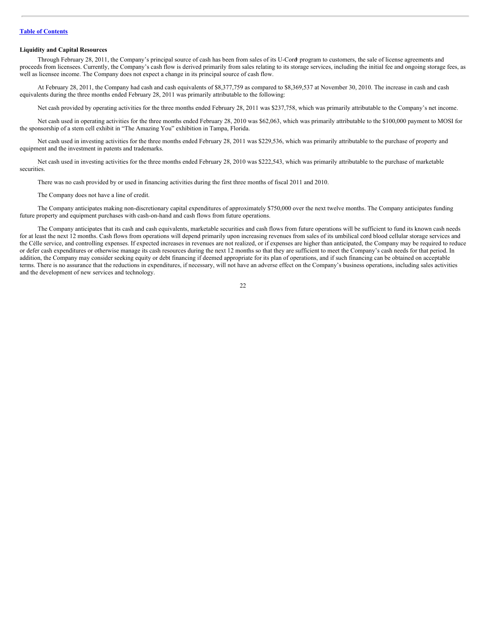#### **Liquidity and Capital Resources**

Through February 28, 2011, the Company's principal source of cash has been from sales of its U-Cord program to customers, the sale of license agreements and ®proceeds from licensees. Currently, the Company's cash flow is derived primarily from sales relating to its storage services, including the initial fee and ongoing storage fees, as well as licensee income. The Company does not expect a change in its principal source of cash flow.

At February 28, 2011, the Company had cash and cash equivalents of \$8,377,759 as compared to \$8,369,537 at November 30, 2010. The increase in cash and cash equivalents during the three months ended February 28, 2011 was primarily attributable to the following:

Net cash provided by operating activities for the three months ended February 28, 2011 was \$237,758, which was primarily attributable to the Company's net income.

Net cash used in operating activities for the three months ended February 28, 2010 was \$62,063, which was primarily attributable to the \$100,000 payment to MOSI for the sponsorship of a stem cell exhibit in "The Amazing You" exhibition in Tampa, Florida.

Net cash used in investing activities for the three months ended February 28, 2011 was \$229,536, which was primarily attributable to the purchase of property and equipment and the investment in patents and trademarks.

Net cash used in investing activities for the three months ended February 28, 2010 was \$222,543, which was primarily attributable to the purchase of marketable securities.

There was no cash provided by or used in financing activities during the first three months of fiscal 2011 and 2010.

The Company does not have a line of credit.

The Company anticipates making non-discretionary capital expenditures of approximately \$750,000 over the next twelve months. The Company anticipates funding future property and equipment purchases with cash-on-hand and cash flows from future operations.

The Company anticipates that its cash and cash equivalents, marketable securities and cash flows from future operations will be sufficient to fund its known cash needs for at least the next 12 months. Cash flows from operations will depend primarily upon increasing revenues from sales of its umbilical cord blood cellular storage services and the Célle service, and controlling expenses. If expected increases in revenues are not realized, or if expenses are higher than anticipated, the Company may be required to reduce or defer cash expenditures or otherwise manage its cash resources during the next 12 months so that they are sufficient to meet the Company's cash needs for that period. In addition, the Company may consider seeking equity or debt financing if deemed appropriate for its plan of operations, and if such financing can be obtained on acceptable terms. There is no assurance that the reductions in expenditures, if necessary, will not have an adverse effect on the Company's business operations, including sales activities and the development of new services and technology.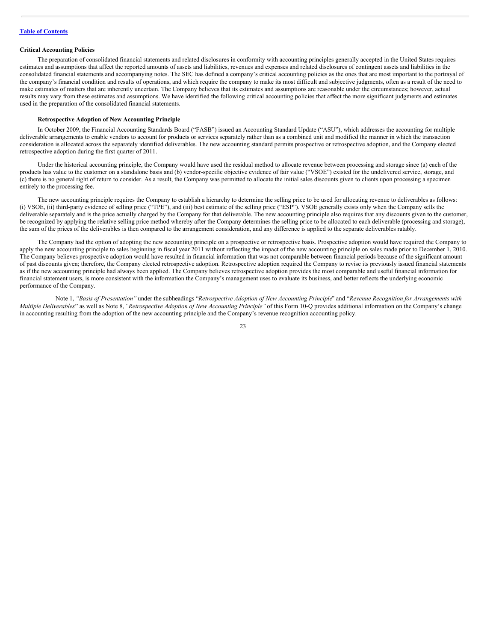# **Critical Accounting Policies**

The preparation of consolidated financial statements and related disclosures in conformity with accounting principles generally accepted in the United States requires estimates and assumptions that affect the reported amounts of assets and liabilities, revenues and expenses and related disclosures of contingent assets and liabilities in the consolidated financial statements and accompanying notes. The SEC has defined a company's critical accounting policies as the ones that are most important to the portrayal of the company's financial condition and results of operations, and which require the company to make its most difficult and subjective judgments, often as a result of the need to make estimates of matters that are inherently uncertain. The Company believes that its estimates and assumptions are reasonable under the circumstances; however, actual results may vary from these estimates and assumptions. We have identified the following critical accounting policies that affect the more significant judgments and estimates used in the preparation of the consolidated financial statements.

#### **Retrospective Adoption of New Accounting Principle**

In October 2009, the Financial Accounting Standards Board ("FASB") issued an Accounting Standard Update ("ASU"), which addresses the accounting for multiple deliverable arrangements to enable vendors to account for products or services separately rather than as a combined unit and modified the manner in which the transaction consideration is allocated across the separately identified deliverables. The new accounting standard permits prospective or retrospective adoption, and the Company elected retrospective adoption during the first quarter of 2011.

Under the historical accounting principle, the Company would have used the residual method to allocate revenue between processing and storage since (a) each of the products has value to the customer on a standalone basis and (b) vendor-specific objective evidence of fair value ("VSOE") existed for the undelivered service, storage, and (c) there is no general right of return to consider. As a result, the Company was permitted to allocate the initial sales discounts given to clients upon processing a specimen entirely to the processing fee.

The new accounting principle requires the Company to establish a hierarchy to determine the selling price to be used for allocating revenue to deliverables as follows: (i) VSOE, (ii) third-party evidence of selling price ("TPE"), and (iii) best estimate of the selling price ("ESP"). VSOE generally exists only when the Company sells the deliverable separately and is the price actually charged by the Company for that deliverable. The new accounting principle also requires that any discounts given to the customer, be recognized by applying the relative selling price method whereby after the Company determines the selling price to be allocated to each deliverable (processing and storage), the sum of the prices of the deliverables is then compared to the arrangement consideration, and any difference is applied to the separate deliverables ratably.

The Company had the option of adopting the new accounting principle on a prospective or retrospective basis. Prospective adoption would have required the Company to apply the new accounting principle to sales beginning in fiscal year 2011 without reflecting the impact of the new accounting principle on sales made prior to December 1, 2010. The Company believes prospective adoption would have resulted in financial information that was not comparable between financial periods because of the significant amount of past discounts given; therefore, the Company elected retrospective adoption. Retrospective adoption required the Company to revise its previously issued financial statements as if the new accounting principle had always been applied. The Company believes retrospective adoption provides the most comparable and useful financial information for financial statement users, is more consistent with the information the Company's management uses to evaluate its business, and better reflects the underlying economic performance of the Company.

Note 1, "Basis of Presentation" under the subheadings "Retrospective Adoption of New Accounting Principle" and "Revenue Recognition for Arrangements with *Multiple Deliverables*" as well as Note 8, *"Retrospective Adoption of New Accounting Principle"* of this Form 10-Q provides additional information on the Company's change in accounting resulting from the adoption of the new accounting principle and the Company's revenue recognition accounting policy.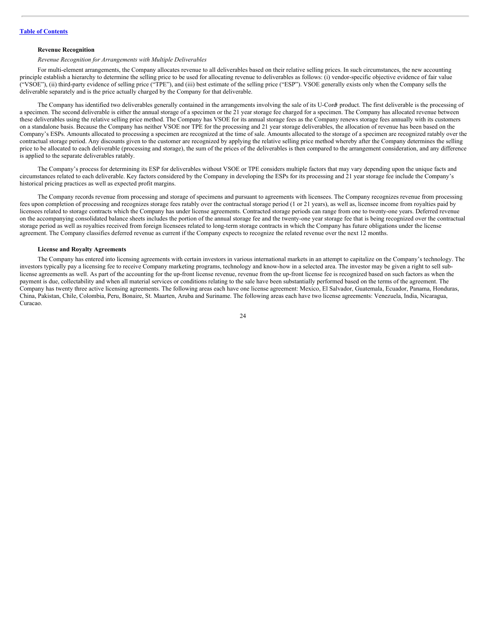# **Revenue Recognition**

#### *Revenue Recognition for Arrangements with Multiple Deliverables*

For multi-element arrangements, the Company allocates revenue to all deliverables based on their relative selling prices. In such circumstances, the new accounting principle establish a hierarchy to determine the selling price to be used for allocating revenue to deliverables as follows: (i) vendor-specific objective evidence of fair value ("VSOE"), (ii) third-party evidence of selling price ("TPE"), and (iii) best estimate of the selling price ("ESP"). VSOE generally exists only when the Company sells the deliverable separately and is the price actually charged by the Company for that deliverable.

The Company has identified two deliverables generally contained in the arrangements involving the sale of its U-Cord product. The first deliverable is the processing of a specimen. The second deliverable is either the annual storage of a specimen or the 21 year storage fee charged for a specimen. The Company has allocated revenue between these deliverables using the relative selling price method. The Company has VSOE for its annual storage fees as the Company renews storage fees annually with its customers on a standalone basis. Because the Company has neither VSOE nor TPE for the processing and 21 year storage deliverables, the allocation of revenue has been based on the Company's ESPs. Amounts allocated to processing a specimen are recognized at the time of sale. Amounts allocated to the storage of a specimen are recognized ratably over the contractual storage period. Any discounts given to the customer are recognized by applying the relative selling price method whereby after the Company determines the selling price to be allocated to each deliverable (processing and storage), the sum of the prices of the deliverables is then compared to the arrangement consideration, and any difference is applied to the separate deliverables ratably.

The Company's process for determining its ESP for deliverables without VSOE or TPE considers multiple factors that may vary depending upon the unique facts and circumstances related to each deliverable. Key factors considered by the Company in developing the ESPs for its processing and 21 year storage fee include the Company's historical pricing practices as well as expected profit margins.

The Company records revenue from processing and storage of specimens and pursuant to agreements with licensees. The Company recognizes revenue from processing fees upon completion of processing and recognizes storage fees ratably over the contractual storage period (1 or 21 years), as well as, licensee income from royalties paid by licensees related to storage contracts which the Company has under license agreements. Contracted storage periods can range from one to twenty-one years. Deferred revenue on the accompanying consolidated balance sheets includes the portion of the annual storage fee and the twenty-one year storage fee that is being recognized over the contractual storage period as well as royalties received from foreign licensees related to long-term storage contracts in which the Company has future obligations under the license agreement. The Company classifies deferred revenue as current if the Company expects to recognize the related revenue over the next 12 months.

#### **License and Royalty Agreements**

The Company has entered into licensing agreements with certain investors in various international markets in an attempt to capitalize on the Company's technology. The investors typically pay a licensing fee to receive Company marketing programs, technology and know-how in a selected area. The investor may be given a right to sell sublicense agreements as well. As part of the accounting for the up-front license revenue, revenue from the up-front license fee is recognized based on such factors as when the payment is due, collectability and when all material services or conditions relating to the sale have been substantially performed based on the terms of the agreement. The Company has twenty three active licensing agreements. The following areas each have one license agreement: Mexico, El Salvador, Guatemala, Ecuador, Panama, Honduras, China, Pakistan, Chile, Colombia, Peru, Bonaire, St. Maarten, Aruba and Suriname. The following areas each have two license agreements: Venezuela, India, Nicaragua, Curacao.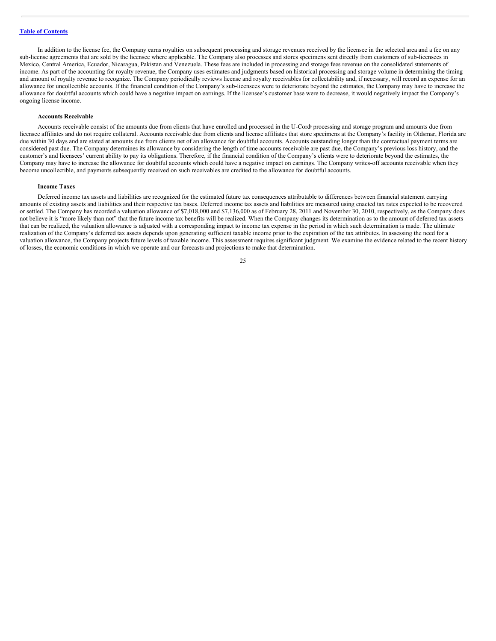In addition to the license fee, the Company earns royalties on subsequent processing and storage revenues received by the licensee in the selected area and a fee on any sub-license agreements that are sold by the licensee where applicable. The Company also processes and stores specimens sent directly from customers of sub-licensees in Mexico, Central America, Ecuador, Nicaragua, Pakistan and Venezuela. These fees are included in processing and storage fees revenue on the consolidated statements of income. As part of the accounting for royalty revenue, the Company uses estimates and judgments based on historical processing and storage volume in determining the timing and amount of royalty revenue to recognize. The Company periodically reviews license and royalty receivables for collectability and, if necessary, will record an expense for an allowance for uncollectible accounts. If the financial condition of the Company's sub-licensees were to deteriorate beyond the estimates, the Company may have to increase the allowance for doubtful accounts which could have a negative impact on earnings. If the licensee's customer base were to decrease, it would negatively impact the Company's ongoing license income.

#### **Accounts Receivable**

Accounts receivable consist of the amounts due from clients that have enrolled and processed in the U-Cord processing and storage program and amounts due from licensee affiliates and do not require collateral. Accounts receivable due from clients and license affiliates that store specimens at the Company's facility in Oldsmar, Florida are due within 30 days and are stated at amounts due from clients net of an allowance for doubtful accounts. Accounts outstanding longer than the contractual payment terms are considered past due. The Company determines its allowance by considering the length of time accounts receivable are past due, the Company's previous loss history, and the customer's and licensees' current ability to pay its obligations. Therefore, if the financial condition of the Company's clients were to deteriorate beyond the estimates, the Company may have to increase the allowance for doubtful accounts which could have a negative impact on earnings. The Company writes-off accounts receivable when they become uncollectible, and payments subsequently received on such receivables are credited to the allowance for doubtful accounts.

#### **Income Taxes**

Deferred income tax assets and liabilities are recognized for the estimated future tax consequences attributable to differences between financial statement carrying amounts of existing assets and liabilities and their respective tax bases. Deferred income tax assets and liabilities are measured using enacted tax rates expected to be recovered or settled. The Company has recorded a valuation allowance of \$7,018,000 and \$7,136,000 as of February 28, 2011 and November 30, 2010, respectively, as the Company does not believe it is "more likely than not" that the future income tax benefits will be realized. When the Company changes its determination as to the amount of deferred tax assets that can be realized, the valuation allowance is adjusted with a corresponding impact to income tax expense in the period in which such determination is made. The ultimate realization of the Company's deferred tax assets depends upon generating sufficient taxable income prior to the expiration of the tax attributes. In assessing the need for a valuation allowance, the Company projects future levels of taxable income. This assessment requires significant judgment. We examine the evidence related to the recent history of losses, the economic conditions in which we operate and our forecasts and projections to make that determination.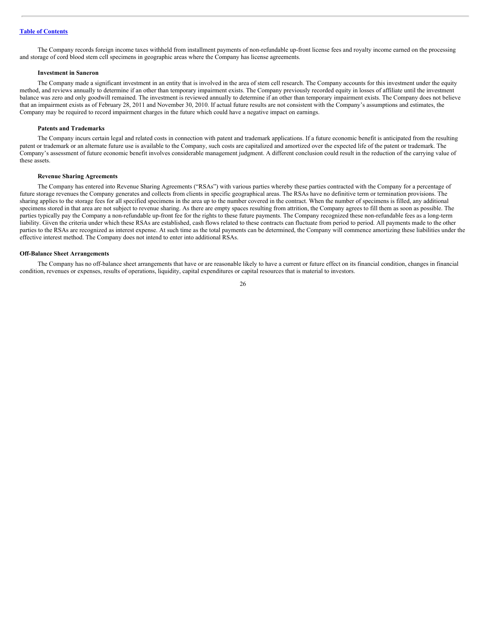The Company records foreign income taxes withheld from installment payments of non-refundable up-front license fees and royalty income earned on the processing and storage of cord blood stem cell specimens in geographic areas where the Company has license agreements.

#### **Investment in Saneron**

The Company made a significant investment in an entity that is involved in the area of stem cell research. The Company accounts for this investment under the equity method, and reviews annually to determine if an other than temporary impairment exists. The Company previously recorded equity in losses of affiliate until the investment balance was zero and only goodwill remained. The investment is reviewed annually to determine if an other than temporary impairment exists. The Company does not believe that an impairment exists as of February 28, 2011 and November 30, 2010. If actual future results are not consistent with the Company's assumptions and estimates, the Company may be required to record impairment charges in the future which could have a negative impact on earnings.

## **Patents and Trademarks**

The Company incurs certain legal and related costs in connection with patent and trademark applications. If a future economic benefit is anticipated from the resulting patent or trademark or an alternate future use is available to the Company, such costs are capitalized and amortized over the expected life of the patent or trademark. The Company's assessment of future economic benefit involves considerable management judgment. A different conclusion could result in the reduction of the carrying value of these assets.

#### **Revenue Sharing Agreements**

The Company has entered into Revenue Sharing Agreements ("RSAs") with various parties whereby these parties contracted with the Company for a percentage of future storage revenues the Company generates and collects from clients in specific geographical areas. The RSAs have no definitive term or termination provisions. The sharing applies to the storage fees for all specified specimens in the area up to the number covered in the contract. When the number of specimens is filled, any additional specimens stored in that area are not subject to revenue sharing. As there are empty spaces resulting from attrition, the Company agrees to fill them as soon as possible. The parties typically pay the Company a non-refundable up-front fee for the rights to these future payments. The Company recognized these non-refundable fees as a long-term liability. Given the criteria under which these RSAs are established, cash flows related to these contracts can fluctuate from period to period. All payments made to the other parties to the RSAs are recognized as interest expense. At such time as the total payments can be determined, the Company will commence amortizing these liabilities under the effective interest method. The Company does not intend to enter into additional RSAs.

#### **Off-Balance Sheet Arrangements**

The Company has no off-balance sheet arrangements that have or are reasonable likely to have a current or future effect on its financial condition, changes in financial condition, revenues or expenses, results of operations, liquidity, capital expenditures or capital resources that is material to investors.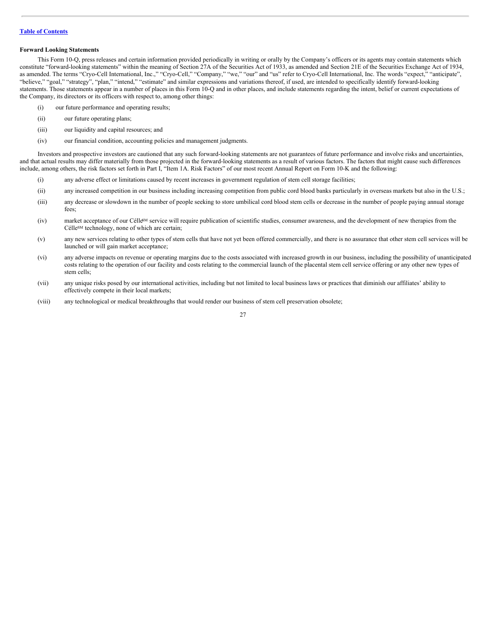# **Forward Looking Statements**

This Form 10-Q, press releases and certain information provided periodically in writing or orally by the Company's officers or its agents may contain statements which constitute "forward-looking statements" within the meaning of Section 27A of the Securities Act of 1933, as amended and Section 21E of the Securities Exchange Act of 1934, as amended. The terms "Cryo-Cell International, Inc.," "Cryo-Cell," "Company," "we," "our" and "us" refer to Cryo-Cell International, Inc. The words "expect," "anticipate", "believe," "goal," "strategy", "plan," "intend," "estimate" and similar expressions and variations thereof, if used, are intended to specifically identify forward-looking statements. Those statements appear in a number of places in this Form 10-Q and in other places, and include statements regarding the intent, belief or current expectations of the Company, its directors or its officers with respect to, among other things:

- (i) our future performance and operating results;
- (ii) our future operating plans;
- (iii) our liquidity and capital resources; and
- (iv) our financial condition, accounting policies and management judgments.

Investors and prospective investors are cautioned that any such forward-looking statements are not guarantees of future performance and involve risks and uncertainties, and that actual results may differ materially from those projected in the forward-looking statements as a result of various factors. The factors that might cause such differences include, among others, the risk factors set forth in Part I, "Item 1A. Risk Factors" of our most recent Annual Report on Form 10-K and the following:

- (i) any adverse effect or limitations caused by recent increases in government regulation of stem cell storage facilities;
- (ii) any increased competition in our business including increasing competition from public cord blood banks particularly in overseas markets but also in the U.S.;
- (iii) any decrease or slowdown in the number of people seeking to store umbilical cord blood stem cells or decrease in the number of people paying annual storage fees;
- (iv) market acceptance of our Célle<sup>6M</sup> service will require publication of scientific studies, consumer awareness, and the development of new therapies from the Célle<sup>SM</sup> technology, none of which are certain;
- (v) any new services relating to other types of stem cells that have not yet been offered commercially, and there is no assurance that other stem cell services will be launched or will gain market acceptance;
- (vi) any adverse impacts on revenue or operating margins due to the costs associated with increased growth in our business, including the possibility of unanticipated costs relating to the operation of our facility and costs relating to the commercial launch of the placental stem cell service offering or any other new types of stem cells;
- (vii) any unique risks posed by our international activities, including but not limited to local business laws or practices that diminish our affiliates' ability to effectively compete in their local markets;
- (viii) any technological or medical breakthroughs that would render our business of stem cell preservation obsolete;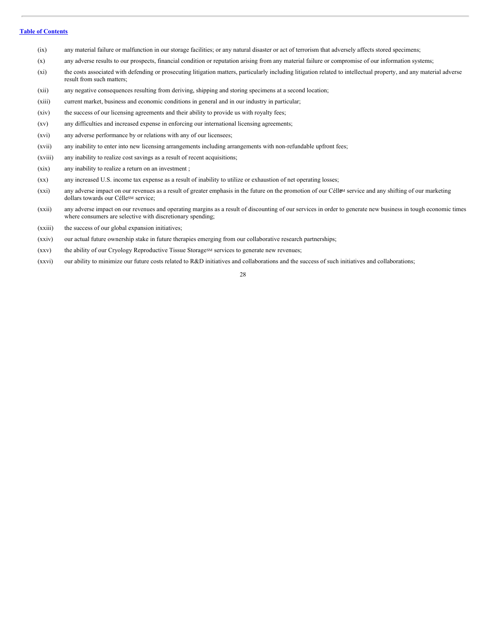- (ix) any material failure or malfunction in our storage facilities; or any natural disaster or act of terrorism that adversely affects stored specimens;
- (x) any adverse results to our prospects, financial condition or reputation arising from any material failure or compromise of our information systems;
- (xi) the costs associated with defending or prosecuting litigation matters, particularly including litigation related to intellectual property, and any material adverse result from such matters;
- (xii) any negative consequences resulting from deriving, shipping and storing specimens at a second location;
- (xiii) current market, business and economic conditions in general and in our industry in particular;
- (xiv) the success of our licensing agreements and their ability to provide us with royalty fees;
- (xv) any difficulties and increased expense in enforcing our international licensing agreements;
- (xvi) any adverse performance by or relations with any of our licensees;
- (xvii) any inability to enter into new licensing arrangements including arrangements with non-refundable upfront fees;
- (xviii) any inability to realize cost savings as a result of recent acquisitions;
- (xix) any inability to realize a return on an investment ;
- (xx) any increased U.S. income tax expense as a result of inability to utilize or exhaustion of net operating losses;
- (xxi) any adverse impact on our revenues as a result of greater emphasis in the future on the promotion of our Céll<sup>eM</sup> service and any shifting of our marketing dollars towards our Célle<sup>SM</sup> service;
- (xxii) any adverse impact on our revenues and operating margins as a result of discounting of our services in order to generate new business in tough economic times where consumers are selective with discretionary spending;
- (xxiii) the success of our global expansion initiatives;
- (xxiv) our actual future ownership stake in future therapies emerging from our collaborative research partnerships;
- (xxv) the ability of our Cryology Reproductive Tissue Storage<sup>≤M</sup> services to generate new revenues;
- (xxvi) our ability to minimize our future costs related to R&D initiatives and collaborations and the success of such initiatives and collaborations;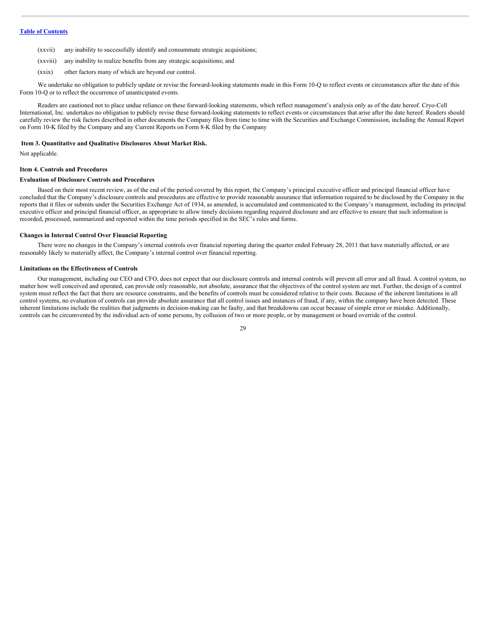- (xxvii) any inability to successfully identify and consummate strategic acquisitions;
- (xxviii) any inability to realize benefits from any strategic acquisitions; and
- (xxix) other factors many of which are beyond our control.

We undertake no obligation to publicly update or revise the forward-looking statements made in this Form 10-Q to reflect events or circumstances after the date of this Form 10-Q or to reflect the occurrence of unanticipated events.

Readers are cautioned not to place undue reliance on these forward-looking statements, which reflect management's analysis only as of the date hereof. Cryo-Cell International, Inc. undertakes no obligation to publicly revise these forward-looking statements to reflect events or circumstances that arise after the date hereof. Readers should carefully review the risk factors described in other documents the Company files from time to time with the Securities and Exchange Commission, including the Annual Report on Form 10-K filed by the Company and any Current Reports on Form 8-K filed by the Company

#### <span id="page-28-0"></span>**Item 3. Quantitative and Qualitative Disclosures About Market Risk.**

Not applicable.

## **Item 4. Controls and Procedures**

#### **Evaluation of Disclosure Controls and Procedures**

Based on their most recent review, as of the end of the period covered by this report, the Company's principal executive officer and principal financial officer have concluded that the Company's disclosure controls and procedures are effective to provide reasonable assurance that information required to be disclosed by the Company in the reports that it files or submits under the Securities Exchange Act of 1934, as amended, is accumulated and communicated to the Company's management, including its principal executive officer and principal financial officer, as appropriate to allow timely decisions regarding required disclosure and are effective to ensure that such information is recorded, processed, summarized and reported within the time periods specified in the SEC's rules and forms.

#### **Changes in Internal Control Over Financial Reporting**

There were no changes in the Company's internal controls over financial reporting during the quarter ended February 28, 2011 that have materially affected, or are reasonably likely to materially affect, the Company's internal control over financial reporting.

#### **Limitations on the Effectiveness of Controls**

Our management, including our CEO and CFO, does not expect that our disclosure controls and internal controls will prevent all error and all fraud. A control system, no matter how well conceived and operated, can provide only reasonable, not absolute, assurance that the objectives of the control system are met. Further, the design of a control system must reflect the fact that there are resource constraints, and the benefits of controls must be considered relative to their costs. Because of the inherent limitations in all control systems, no evaluation of controls can provide absolute assurance that all control issues and instances of fraud, if any, within the company have been detected. These inherent limitations include the realities that judgments in decision-making can be faulty, and that breakdowns can occur because of simple error or mistake. Additionally, controls can be circumvented by the individual acts of some persons, by collusion of two or more people, or by management or board override of the control.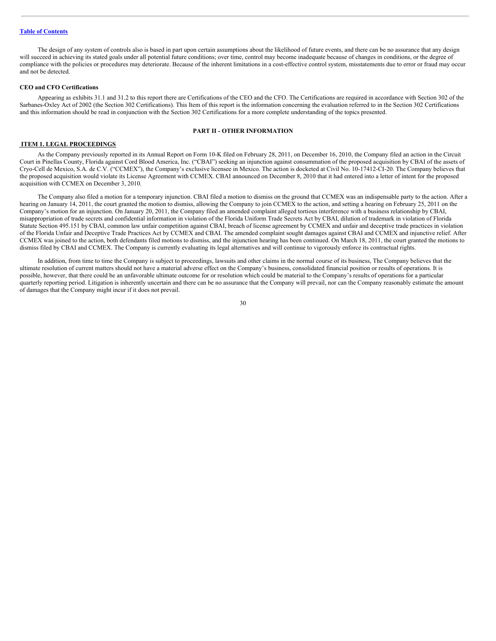The design of any system of controls also is based in part upon certain assumptions about the likelihood of future events, and there can be no assurance that any design will succeed in achieving its stated goals under all potential future conditions; over time, control may become inadequate because of changes in conditions, or the degree of compliance with the policies or procedures may deteriorate. Because of the inherent limitations in a cost-effective control system, misstatements due to error or fraud may occur and not be detected.

## **CEO and CFO Certifications**

Appearing as exhibits 31.1 and 31.2 to this report there are Certifications of the CEO and the CFO. The Certifications are required in accordance with Section 302 of the Sarbanes-Oxley Act of 2002 (the Section 302 Certifications). This Item of this report is the information concerning the evaluation referred to in the Section 302 Certifications and this information should be read in conjunction with the Section 302 Certifications for a more complete understanding of the topics presented.

# **PART II - OTHER INFORMATION**

#### <span id="page-29-0"></span>**ITEM 1. LEGAL PROCEEDINGS**

As the Company previously reported in its Annual Report on Form 10-K filed on February 28, 2011, on December 16, 2010, the Company filed an action in the Circuit Court in Pinellas County, Florida against Cord Blood America, Inc. ("CBAI") seeking an injunction against consummation of the proposed acquisition by CBAI of the assets of Cryo-Cell de Mexico, S.A. de C.V. ("CCMEX"), the Company's exclusive licensee in Mexico. The action is docketed at Civil No. 10-17412-CI-20. The Company believes that the proposed acquisition would violate its License Agreement with CCMEX. CBAI announced on December 8, 2010 that it had entered into a letter of intent for the proposed acquisition with CCMEX on December 3, 2010.

The Company also filed a motion for a temporary injunction. CBAI filed a motion to dismiss on the ground that CCMEX was an indispensable party to the action. After a hearing on January 14, 2011, the court granted the motion to dismiss, allowing the Company to join CCMEX to the action, and setting a hearing on February 25, 2011 on the Company's motion for an injunction. On January 20, 2011, the Company filed an amended complaint alleged tortious interference with a business relationship by CBAI, misappropriation of trade secrets and confidential information in violation of the Florida Uniform Trade Secrets Act by CBAI, dilution of trademark in violation of Florida Statute Section 495.151 by CBAI, common law unfair competition against CBAI, breach of license agreement by CCMEX and unfair and deceptive trade practices in violation of the Florida Unfair and Deceptive Trade Practices Act by CCMEX and CBAI. The amended complaint sought damages against CBAI and CCMEX and injunctive relief. After CCMEX was joined to the action, both defendants filed motions to dismiss, and the injunction hearing has been continued. On March 18, 2011, the court granted the motions to dismiss filed by CBAI and CCMEX. The Company is currently evaluating its legal alternatives and will continue to vigorously enforce its contractual rights.

In addition, from time to time the Company is subject to proceedings, lawsuits and other claims in the normal course of its business, The Company believes that the ultimate resolution of current matters should not have a material adverse effect on the Company's business, consolidated financial position or results of operations. It is possible, however, that there could be an unfavorable ultimate outcome for or resolution which could be material to the Company's results of operations for a particular quarterly reporting period. Litigation is inherently uncertain and there can be no assurance that the Company will prevail, nor can the Company reasonably estimate the amount of damages that the Company might incur if it does not prevail.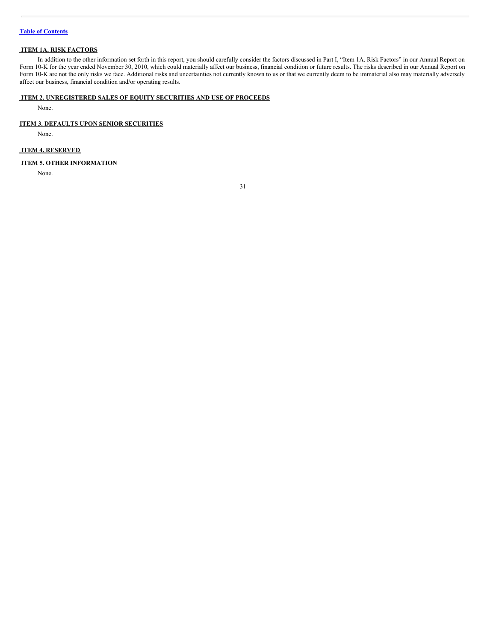# <span id="page-30-0"></span>**ITEM 1A. RISK FACTORS**

In addition to the other information set forth in this report, you should carefully consider the factors discussed in Part I, "Item 1A. Risk Factors" in our Annual Report on Form 10-K for the year ended November 30, 2010, which could materially affect our business, financial condition or future results. The risks described in our Annual Report on Form 10-K are not the only risks we face. Additional risks and uncertainties not currently known to us or that we currently deem to be immaterial also may materially adversely affect our business, financial condition and/or operating results.

# <span id="page-30-1"></span>**ITEM 2. UNREGISTERED SALES OF EQUITY SECURITIES AND USE OF PROCEEDS**

None.

# **ITEM 3. DEFAULTS UPON SENIOR SECURITIES**

None.

# <span id="page-30-2"></span>**ITEM 4. RESERVED**

# <span id="page-30-3"></span>**ITEM 5. OTHER INFORMATION**

None.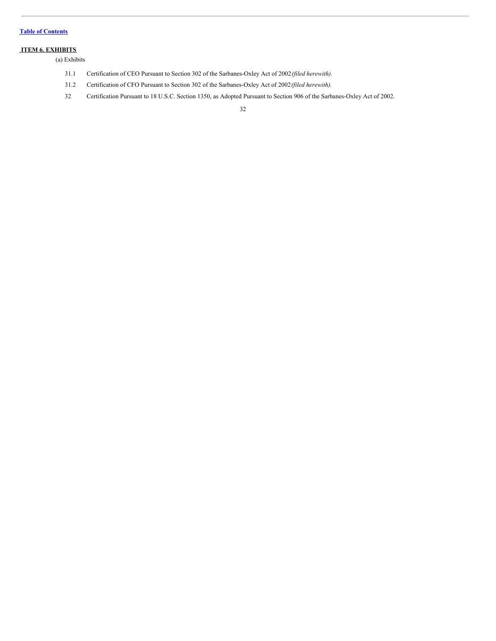# <span id="page-31-0"></span>**ITEM 6. EXHIBITS**

(a) Exhibits

- 31.1 Certification of CEO Pursuant to Section 302 of the Sarbanes-Oxley Act of 2002*(filed herewith).*
- 31.2 Certification of CFO Pursuant to Section 302 of the Sarbanes-Oxley Act of 2002*(filed herewith)*.
- 32 Certification Pursuant to 18 U.S.C. Section 1350, as Adopted Pursuant to Section 906 of the Sarbanes-Oxley Act of 2002.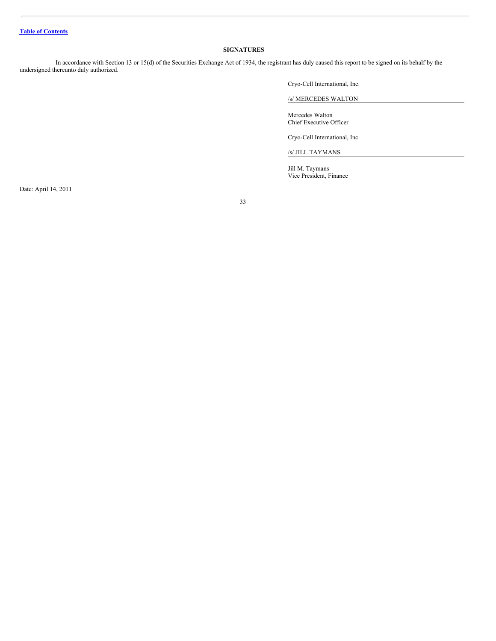# <span id="page-32-0"></span>**SIGNATURES**

In accordance with Section 13 or 15(d) of the Securities Exchange Act of 1934, the registrant has duly caused this report to be signed on its behalf by the undersigned thereunto duly authorized.

Cryo-Cell International, Inc.

/s/ MERCEDES WALTON

Mercedes Walton Chief Executive Officer

Cryo-Cell International, Inc.

/s/ JILL TAYMANS

Jill M. Taymans Vice President, Finance

Date: April 14, 2011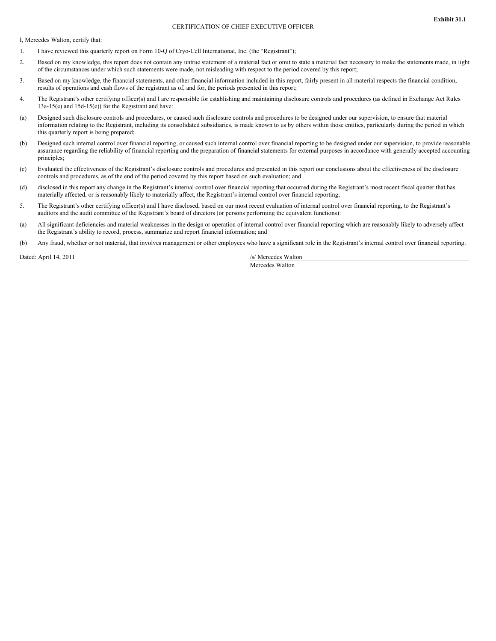#### CERTIFICATION OF CHIEF EXECUTIVE OFFICER

I, Mercedes Walton, certify that:

- 1. I have reviewed this quarterly report on Form 10-Q of Cryo-Cell International, Inc. (the "Registrant");
- 2. Based on my knowledge, this report does not contain any untrue statement of a material fact or omit to state a material fact necessary to make the statements made, in light of the circumstances under which such statements were made, not misleading with respect to the period covered by this report;
- 3. Based on my knowledge, the financial statements, and other financial information included in this report, fairly present in all material respects the financial condition, results of operations and cash flows of the registrant as of, and for, the periods presented in this report;
- 4. The Registrant's other certifying officer(s) and I are responsible for establishing and maintaining disclosure controls and procedures (as defined in Exchange Act Rules 13a-15(e) and 15d-15(e)) for the Registrant and have:
- (a) Designed such disclosure controls and procedures, or caused such disclosure controls and procedures to be designed under our supervision, to ensure that material information relating to the Registrant, including its consolidated subsidiaries, is made known to us by others within those entities, particularly during the period in which this quarterly report is being prepared;
- (b) Designed such internal control over financial reporting, or caused such internal control over financial reporting to be designed under our supervision, to provide reasonable assurance regarding the reliability of financial reporting and the preparation of financial statements for external purposes in accordance with generally accepted accounting principles;
- (c) Evaluated the effectiveness of the Registrant's disclosure controls and procedures and presented in this report our conclusions about the effectiveness of the disclosure controls and procedures, as of the end of the period covered by this report based on such evaluation; and
- (d) disclosed in this report any change in the Registrant's internal control over financial reporting that occurred during the Registrant's most recent fiscal quarter that has materially affected, or is reasonably likely to materially affect, the Registrant's internal control over financial reporting;
- 5. The Registrant's other certifying officer(s) and I have disclosed, based on our most recent evaluation of internal control over financial reporting, to the Registrant's auditors and the audit committee of the Registrant's board of directors (or persons performing the equivalent functions):
- (a) All significant deficiencies and material weaknesses in the design or operation of internal control over financial reporting which are reasonably likely to adversely affect the Registrant's ability to record, process, summarize and report financial information; and
- (b) Any fraud, whether or not material, that involves management or other employees who have a significant role in the Registrant's internal control over financial reporting.

Dated: April 14, 2011 /s/ Mercedes Walton

Mercedes Walton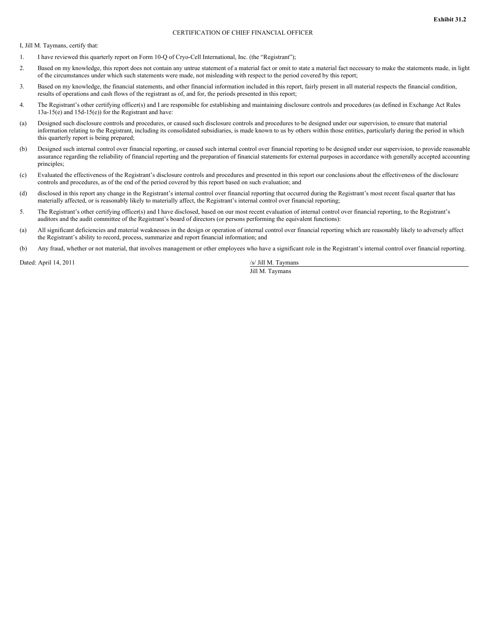# CERTIFICATION OF CHIEF FINANCIAL OFFICER

I, Jill M. Taymans, certify that:

- 1. I have reviewed this quarterly report on Form 10-Q of Cryo-Cell International, Inc. (the "Registrant");
- 2. Based on my knowledge, this report does not contain any untrue statement of a material fact or omit to state a material fact necessary to make the statements made, in light of the circumstances under which such statements were made, not misleading with respect to the period covered by this report;
- 3. Based on my knowledge, the financial statements, and other financial information included in this report, fairly present in all material respects the financial condition, results of operations and cash flows of the registrant as of, and for, the periods presented in this report;
- 4. The Registrant's other certifying officer(s) and I are responsible for establishing and maintaining disclosure controls and procedures (as defined in Exchange Act Rules 13a-15(e) and 15d-15(e)) for the Registrant and have:
- (a) Designed such disclosure controls and procedures, or caused such disclosure controls and procedures to be designed under our supervision, to ensure that material information relating to the Registrant, including its consolidated subsidiaries, is made known to us by others within those entities, particularly during the period in which this quarterly report is being prepared;
- (b) Designed such internal control over financial reporting, or caused such internal control over financial reporting to be designed under our supervision, to provide reasonable assurance regarding the reliability of financial reporting and the preparation of financial statements for external purposes in accordance with generally accepted accounting principles;
- (c) Evaluated the effectiveness of the Registrant's disclosure controls and procedures and presented in this report our conclusions about the effectiveness of the disclosure controls and procedures, as of the end of the period covered by this report based on such evaluation; and
- (d) disclosed in this report any change in the Registrant's internal control over financial reporting that occurred during the Registrant's most recent fiscal quarter that has materially affected, or is reasonably likely to materially affect, the Registrant's internal control over financial reporting;
- 5. The Registrant's other certifying officer(s) and I have disclosed, based on our most recent evaluation of internal control over financial reporting, to the Registrant's auditors and the audit committee of the Registrant's board of directors (or persons performing the equivalent functions):
- (a) All significant deficiencies and material weaknesses in the design or operation of internal control over financial reporting which are reasonably likely to adversely affect the Registrant's ability to record, process, summarize and report financial information; and
- (b) Any fraud, whether or not material, that involves management or other employees who have a significant role in the Registrant's internal control over financial reporting.

Dated: April 14, 2011 /s/ Jill M. Taymans

Jill M. Taymans